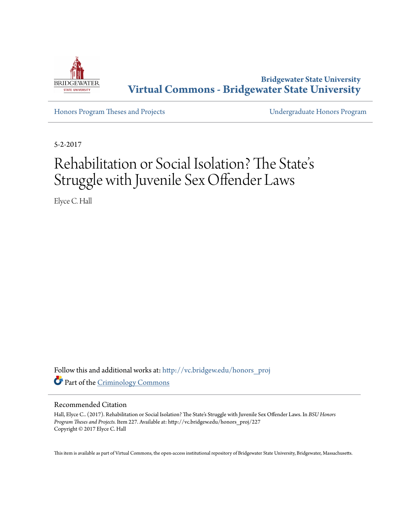

**Bridgewater State University [Virtual Commons - Bridgewater State University](http://vc.bridgew.edu?utm_source=vc.bridgew.edu%2Fhonors_proj%2F227&utm_medium=PDF&utm_campaign=PDFCoverPages)**

[Honors Program Theses and Projects](http://vc.bridgew.edu/honors_proj?utm_source=vc.bridgew.edu%2Fhonors_proj%2F227&utm_medium=PDF&utm_campaign=PDFCoverPages) [Undergraduate Honors Program](http://vc.bridgew.edu/honors?utm_source=vc.bridgew.edu%2Fhonors_proj%2F227&utm_medium=PDF&utm_campaign=PDFCoverPages)

5-2-2017

# Rehabilitation or Social Isolation? The State s י<br>' י Struggle with Juvenile Sex Offender Laws

Elyce C. Hall

Follow this and additional works at: [http://vc.bridgew.edu/honors\\_proj](http://vc.bridgew.edu/honors_proj?utm_source=vc.bridgew.edu%2Fhonors_proj%2F227&utm_medium=PDF&utm_campaign=PDFCoverPages) Part of the [Criminology Commons](http://network.bepress.com/hgg/discipline/417?utm_source=vc.bridgew.edu%2Fhonors_proj%2F227&utm_medium=PDF&utm_campaign=PDFCoverPages)

### Recommended Citation

Hall, Elyce C.. (2017). Rehabilitation or Social Isolation? The State's Struggle with Juvenile Sex Offender Laws. In *BSU Honors Program Theses and Projects.* Item 227. Available at: http://vc.bridgew.edu/honors\_proj/227 Copyright © 2017 Elyce C. Hall

This item is available as part of Virtual Commons, the open-access institutional repository of Bridgewater State University, Bridgewater, Massachusetts.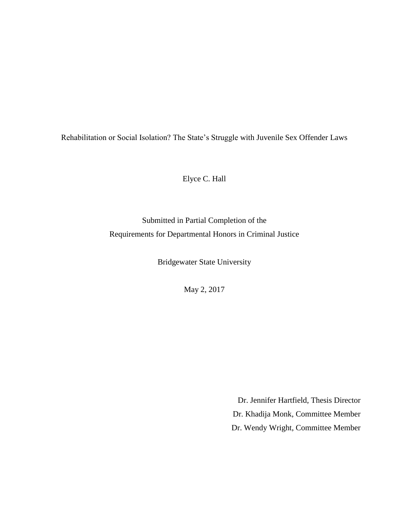Rehabilitation or Social Isolation? The State's Struggle with Juvenile Sex Offender Laws

Elyce C. Hall

Submitted in Partial Completion of the Requirements for Departmental Honors in Criminal Justice

Bridgewater State University

May 2, 2017

Dr. Jennifer Hartfield, Thesis Director Dr. Khadija Monk, Committee Member Dr. Wendy Wright, Committee Member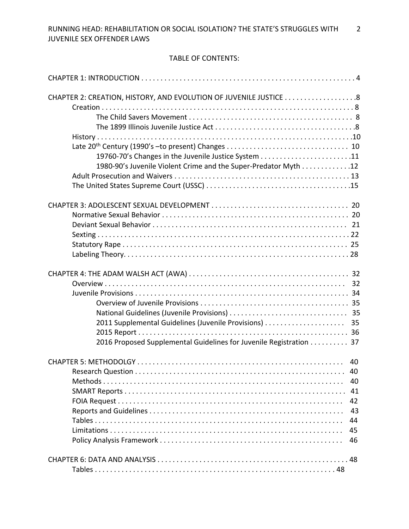# TABLE OF CONTENTS:

| 1980-90's Juvenile Violent Crime and the Super-Predator Myth 12    |    |
|--------------------------------------------------------------------|----|
|                                                                    |    |
|                                                                    |    |
|                                                                    |    |
|                                                                    |    |
|                                                                    |    |
|                                                                    |    |
|                                                                    |    |
|                                                                    |    |
|                                                                    |    |
|                                                                    |    |
|                                                                    |    |
|                                                                    |    |
|                                                                    |    |
|                                                                    |    |
| 2011 Supplemental Guidelines (Juvenile Provisions)                 | 35 |
|                                                                    |    |
| 2016 Proposed Supplemental Guidelines for Juvenile Registration 37 |    |
|                                                                    |    |
|                                                                    |    |
|                                                                    |    |
|                                                                    | 40 |
|                                                                    | 41 |
|                                                                    | 42 |
|                                                                    | 43 |
|                                                                    | 44 |
|                                                                    | 45 |
|                                                                    | 46 |
|                                                                    |    |
|                                                                    |    |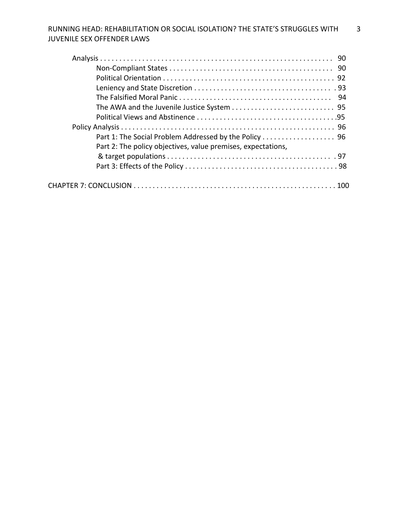| Part 2: The policy objectives, value premises, expectations, |
|--------------------------------------------------------------|
|                                                              |
|                                                              |
|                                                              |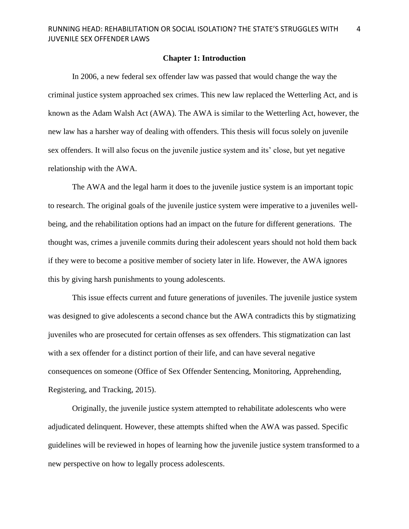### **Chapter 1: Introduction**

In 2006, a new federal sex offender law was passed that would change the way the criminal justice system approached sex crimes. This new law replaced the Wetterling Act, and is known as the Adam Walsh Act (AWA). The AWA is similar to the Wetterling Act, however, the new law has a harsher way of dealing with offenders. This thesis will focus solely on juvenile sex offenders. It will also focus on the juvenile justice system and its' close, but yet negative relationship with the AWA.

The AWA and the legal harm it does to the juvenile justice system is an important topic to research. The original goals of the juvenile justice system were imperative to a juveniles wellbeing, and the rehabilitation options had an impact on the future for different generations. The thought was, crimes a juvenile commits during their adolescent years should not hold them back if they were to become a positive member of society later in life. However, the AWA ignores this by giving harsh punishments to young adolescents.

This issue effects current and future generations of juveniles. The juvenile justice system was designed to give adolescents a second chance but the AWA contradicts this by stigmatizing juveniles who are prosecuted for certain offenses as sex offenders. This stigmatization can last with a sex offender for a distinct portion of their life, and can have several negative consequences on someone (Office of Sex Offender Sentencing, Monitoring, Apprehending, Registering, and Tracking, 2015).

Originally, the juvenile justice system attempted to rehabilitate adolescents who were adjudicated delinquent. However, these attempts shifted when the AWA was passed. Specific guidelines will be reviewed in hopes of learning how the juvenile justice system transformed to a new perspective on how to legally process adolescents.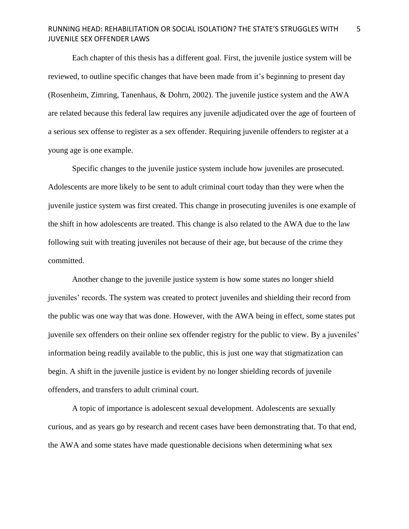Each chapter of this thesis has a different goal. First, the juvenile justice system will be reviewed, to outline specific changes that have been made from it's beginning to present day (Rosenheim, Zimring, Tanenhaus, & Dohrn, 2002). The juvenile justice system and the AWA are related because this federal law requires any juvenile adjudicated over the age of fourteen of a serious sex offense to register as a sex offender. Requiring juvenile offenders to register at a young age is one example.

Specific changes to the juvenile justice system include how juveniles are prosecuted. Adolescents are more likely to be sent to adult criminal court today than they were when the juvenile justice system was first created. This change in prosecuting juveniles is one example of the shift in how adolescents are treated. This change is also related to the AWA due to the law following suit with treating juveniles not because of their age, but because of the crime they committed.

Another change to the juvenile justice system is how some states no longer shield juveniles' records. The system was created to protect juveniles and shielding their record from the public was one way that was done. However, with the AWA being in effect, some states put juvenile sex offenders on their online sex offender registry for the public to view. By a juveniles' information being readily available to the public, this is just one way that stigmatization can begin. A shift in the juvenile justice is evident by no longer shielding records of juvenile offenders, and transfers to adult criminal court.

A topic of importance is adolescent sexual development. Adolescents are sexually curious, and as years go by research and recent cases have been demonstrating that. To that end, the AWA and some states have made questionable decisions when determining what sex

5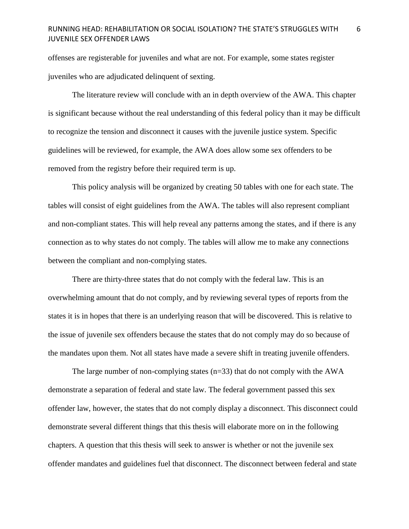offenses are registerable for juveniles and what are not. For example, some states register juveniles who are adjudicated delinquent of sexting.

The literature review will conclude with an in depth overview of the AWA. This chapter is significant because without the real understanding of this federal policy than it may be difficult to recognize the tension and disconnect it causes with the juvenile justice system. Specific guidelines will be reviewed, for example, the AWA does allow some sex offenders to be removed from the registry before their required term is up.

This policy analysis will be organized by creating 50 tables with one for each state. The tables will consist of eight guidelines from the AWA. The tables will also represent compliant and non-compliant states. This will help reveal any patterns among the states, and if there is any connection as to why states do not comply. The tables will allow me to make any connections between the compliant and non-complying states.

There are thirty-three states that do not comply with the federal law. This is an overwhelming amount that do not comply, and by reviewing several types of reports from the states it is in hopes that there is an underlying reason that will be discovered. This is relative to the issue of juvenile sex offenders because the states that do not comply may do so because of the mandates upon them. Not all states have made a severe shift in treating juvenile offenders.

The large number of non-complying states  $(n=33)$  that do not comply with the AWA demonstrate a separation of federal and state law. The federal government passed this sex offender law, however, the states that do not comply display a disconnect. This disconnect could demonstrate several different things that this thesis will elaborate more on in the following chapters. A question that this thesis will seek to answer is whether or not the juvenile sex offender mandates and guidelines fuel that disconnect. The disconnect between federal and state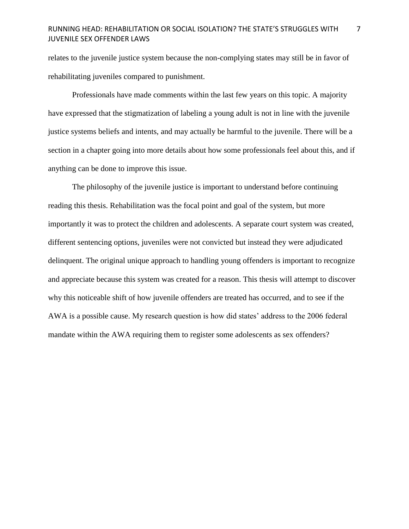relates to the juvenile justice system because the non-complying states may still be in favor of rehabilitating juveniles compared to punishment.

Professionals have made comments within the last few years on this topic. A majority have expressed that the stigmatization of labeling a young adult is not in line with the juvenile justice systems beliefs and intents, and may actually be harmful to the juvenile. There will be a section in a chapter going into more details about how some professionals feel about this, and if anything can be done to improve this issue.

The philosophy of the juvenile justice is important to understand before continuing reading this thesis. Rehabilitation was the focal point and goal of the system, but more importantly it was to protect the children and adolescents. A separate court system was created, different sentencing options, juveniles were not convicted but instead they were adjudicated delinquent. The original unique approach to handling young offenders is important to recognize and appreciate because this system was created for a reason. This thesis will attempt to discover why this noticeable shift of how juvenile offenders are treated has occurred, and to see if the AWA is a possible cause. My research question is how did states' address to the 2006 federal mandate within the AWA requiring them to register some adolescents as sex offenders?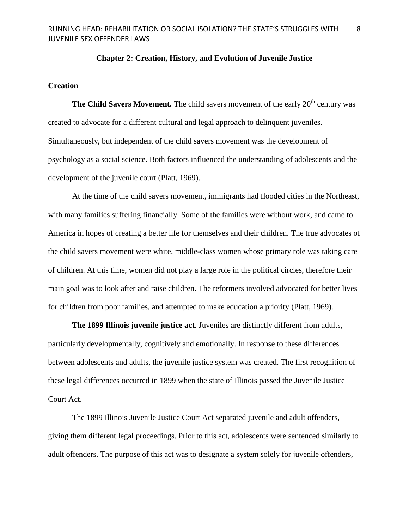### **Chapter 2: Creation, History, and Evolution of Juvenile Justice**

# **Creation**

**The Child Savers Movement.** The child savers movement of the early 20<sup>th</sup> century was created to advocate for a different cultural and legal approach to delinquent juveniles. Simultaneously, but independent of the child savers movement was the development of psychology as a social science. Both factors influenced the understanding of adolescents and the development of the juvenile court (Platt, 1969).

At the time of the child savers movement, immigrants had flooded cities in the Northeast, with many families suffering financially. Some of the families were without work, and came to America in hopes of creating a better life for themselves and their children. The true advocates of the child savers movement were white, middle-class women whose primary role was taking care of children. At this time, women did not play a large role in the political circles, therefore their main goal was to look after and raise children. The reformers involved advocated for better lives for children from poor families, and attempted to make education a priority (Platt, 1969).

**The 1899 Illinois juvenile justice act**. Juveniles are distinctly different from adults, particularly developmentally, cognitively and emotionally. In response to these differences between adolescents and adults, the juvenile justice system was created. The first recognition of these legal differences occurred in 1899 when the state of Illinois passed the Juvenile Justice Court Act.

The 1899 Illinois Juvenile Justice Court Act separated juvenile and adult offenders, giving them different legal proceedings. Prior to this act, adolescents were sentenced similarly to adult offenders. The purpose of this act was to designate a system solely for juvenile offenders,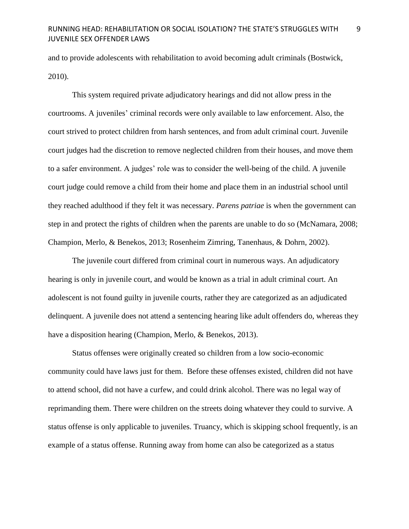and to provide adolescents with rehabilitation to avoid becoming adult criminals (Bostwick, 2010).

This system required private adjudicatory hearings and did not allow press in the courtrooms. A juveniles' criminal records were only available to law enforcement. Also, the court strived to protect children from harsh sentences, and from adult criminal court. Juvenile court judges had the discretion to remove neglected children from their houses, and move them to a safer environment. A judges' role was to consider the well-being of the child. A juvenile court judge could remove a child from their home and place them in an industrial school until they reached adulthood if they felt it was necessary. *Parens patriae* is when the government can step in and protect the rights of children when the parents are unable to do so (McNamara, 2008; Champion, Merlo, & Benekos, 2013; Rosenheim Zimring, Tanenhaus, & Dohrn, 2002).

The juvenile court differed from criminal court in numerous ways. An adjudicatory hearing is only in juvenile court, and would be known as a trial in adult criminal court. An adolescent is not found guilty in juvenile courts, rather they are categorized as an adjudicated delinquent. A juvenile does not attend a sentencing hearing like adult offenders do, whereas they have a disposition hearing (Champion, Merlo, & Benekos, 2013).

Status offenses were originally created so children from a low socio-economic community could have laws just for them. Before these offenses existed, children did not have to attend school, did not have a curfew, and could drink alcohol. There was no legal way of reprimanding them. There were children on the streets doing whatever they could to survive. A status offense is only applicable to juveniles. Truancy, which is skipping school frequently, is an example of a status offense. Running away from home can also be categorized as a status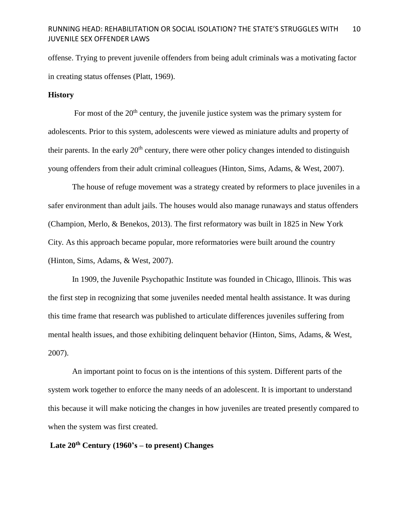offense. Trying to prevent juvenile offenders from being adult criminals was a motivating factor in creating status offenses (Platt, 1969).

### **History**

For most of the  $20<sup>th</sup>$  century, the juvenile justice system was the primary system for adolescents. Prior to this system, adolescents were viewed as miniature adults and property of their parents. In the early  $20<sup>th</sup>$  century, there were other policy changes intended to distinguish young offenders from their adult criminal colleagues (Hinton, Sims, Adams, & West, 2007).

The house of refuge movement was a strategy created by reformers to place juveniles in a safer environment than adult jails. The houses would also manage runaways and status offenders (Champion, Merlo, & Benekos, 2013). The first reformatory was built in 1825 in New York City. As this approach became popular, more reformatories were built around the country (Hinton, Sims, Adams, & West, 2007).

In 1909, the Juvenile Psychopathic Institute was founded in Chicago, Illinois. This was the first step in recognizing that some juveniles needed mental health assistance. It was during this time frame that research was published to articulate differences juveniles suffering from mental health issues, and those exhibiting delinquent behavior (Hinton, Sims, Adams, & West, 2007).

An important point to focus on is the intentions of this system. Different parts of the system work together to enforce the many needs of an adolescent. It is important to understand this because it will make noticing the changes in how juveniles are treated presently compared to when the system was first created.

**Late 20th Century (1960's – to present) Changes**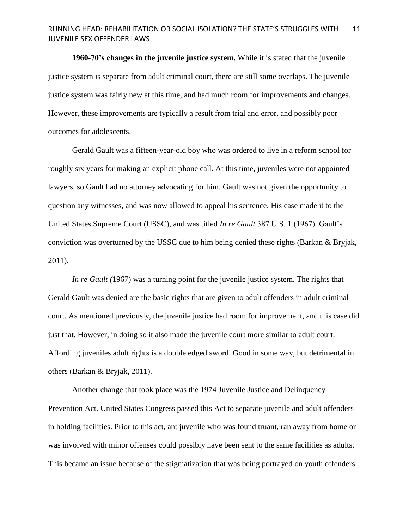**1960-70's changes in the juvenile justice system.** While it is stated that the juvenile justice system is separate from adult criminal court, there are still some overlaps. The juvenile justice system was fairly new at this time, and had much room for improvements and changes. However, these improvements are typically a result from trial and error, and possibly poor outcomes for adolescents.

Gerald Gault was a fifteen-year-old boy who was ordered to live in a reform school for roughly six years for making an explicit phone call. At this time, juveniles were not appointed lawyers, so Gault had no attorney advocating for him. Gault was not given the opportunity to question any witnesses, and was now allowed to appeal his sentence. His case made it to the United States Supreme Court (USSC), and was titled *In re Gault* 387 U.S. 1 (1967). Gault's conviction was overturned by the USSC due to him being denied these rights (Barkan & Bryjak, 2011).

*In re Gault (*1967) was a turning point for the juvenile justice system. The rights that Gerald Gault was denied are the basic rights that are given to adult offenders in adult criminal court. As mentioned previously, the juvenile justice had room for improvement, and this case did just that. However, in doing so it also made the juvenile court more similar to adult court. Affording juveniles adult rights is a double edged sword. Good in some way, but detrimental in others (Barkan & Bryjak, 2011).

Another change that took place was the 1974 Juvenile Justice and Delinquency Prevention Act. United States Congress passed this Act to separate juvenile and adult offenders in holding facilities. Prior to this act, ant juvenile who was found truant, ran away from home or was involved with minor offenses could possibly have been sent to the same facilities as adults. This became an issue because of the stigmatization that was being portrayed on youth offenders.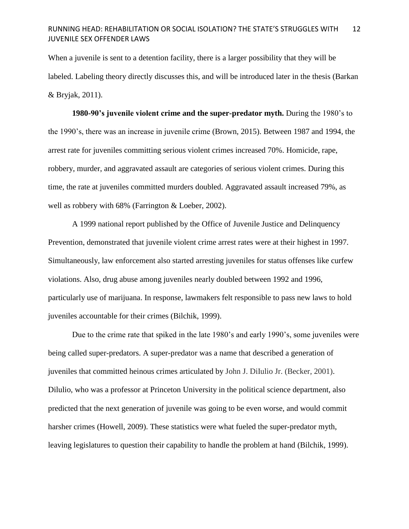When a juvenile is sent to a detention facility, there is a larger possibility that they will be labeled. Labeling theory directly discusses this, and will be introduced later in the thesis (Barkan & Bryjak, 2011).

**1980-90's juvenile violent crime and the super-predator myth.** During the 1980's to the 1990's, there was an increase in juvenile crime (Brown, 2015). Between 1987 and 1994, the arrest rate for juveniles committing serious violent crimes increased 70%. Homicide, rape, robbery, murder, and aggravated assault are categories of serious violent crimes. During this time, the rate at juveniles committed murders doubled. Aggravated assault increased 79%, as well as robbery with 68% (Farrington & Loeber, 2002).

A 1999 national report published by the Office of Juvenile Justice and Delinquency Prevention, demonstrated that juvenile violent crime arrest rates were at their highest in 1997. Simultaneously, law enforcement also started arresting juveniles for status offenses like curfew violations. Also, drug abuse among juveniles nearly doubled between 1992 and 1996, particularly use of marijuana. In response, lawmakers felt responsible to pass new laws to hold juveniles accountable for their crimes (Bilchik, 1999).

Due to the crime rate that spiked in the late 1980's and early 1990's, some juveniles were being called super-predators. A super-predator was a name that described a generation of juveniles that committed heinous crimes articulated by John J. DiIulio Jr. (Becker, 2001). Dilulio, who was a professor at Princeton University in the political science department, also predicted that the next generation of juvenile was going to be even worse, and would commit harsher crimes (Howell, 2009). These statistics were what fueled the super-predator myth, leaving legislatures to question their capability to handle the problem at hand (Bilchik, 1999).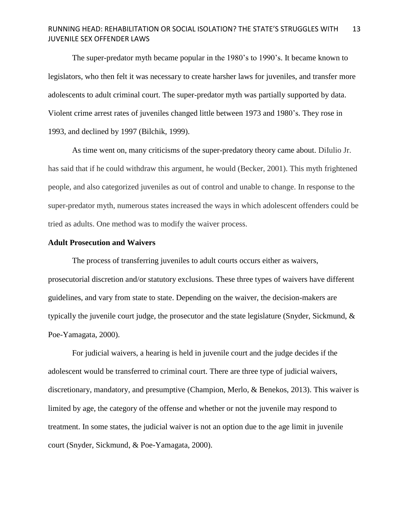The super-predator myth became popular in the 1980's to 1990's. It became known to legislators, who then felt it was necessary to create harsher laws for juveniles, and transfer more adolescents to adult criminal court. The super-predator myth was partially supported by data. Violent crime arrest rates of juveniles changed little between 1973 and 1980's. They rose in 1993, and declined by 1997 (Bilchik, 1999).

As time went on, many criticisms of the super-predatory theory came about. DiIulio Jr. has said that if he could withdraw this argument, he would (Becker, 2001). This myth frightened people, and also categorized juveniles as out of control and unable to change. In response to the super-predator myth, numerous states increased the ways in which adolescent offenders could be tried as adults. One method was to modify the waiver process.

# **Adult Prosecution and Waivers**

The process of transferring juveniles to adult courts occurs either as waivers, prosecutorial discretion and/or statutory exclusions. These three types of waivers have different guidelines, and vary from state to state. Depending on the waiver, the decision-makers are typically the juvenile court judge, the prosecutor and the state legislature (Snyder, Sickmund, & Poe-Yamagata, 2000).

For judicial waivers, a hearing is held in juvenile court and the judge decides if the adolescent would be transferred to criminal court. There are three type of judicial waivers, discretionary, mandatory, and presumptive (Champion, Merlo, & Benekos, 2013). This waiver is limited by age, the category of the offense and whether or not the juvenile may respond to treatment. In some states, the judicial waiver is not an option due to the age limit in juvenile court (Snyder, Sickmund, & Poe-Yamagata, 2000).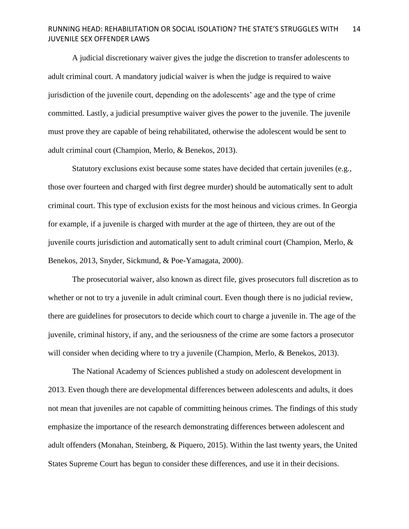A judicial discretionary waiver gives the judge the discretion to transfer adolescents to adult criminal court. A mandatory judicial waiver is when the judge is required to waive jurisdiction of the juvenile court, depending on the adolescents' age and the type of crime committed. Lastly, a judicial presumptive waiver gives the power to the juvenile. The juvenile must prove they are capable of being rehabilitated, otherwise the adolescent would be sent to adult criminal court (Champion, Merlo, & Benekos, 2013).

Statutory exclusions exist because some states have decided that certain juveniles (e.g., those over fourteen and charged with first degree murder) should be automatically sent to adult criminal court. This type of exclusion exists for the most heinous and vicious crimes. In Georgia for example, if a juvenile is charged with murder at the age of thirteen, they are out of the juvenile courts jurisdiction and automatically sent to adult criminal court (Champion, Merlo, & Benekos, 2013, Snyder, Sickmund, & Poe-Yamagata, 2000).

The prosecutorial waiver, also known as direct file, gives prosecutors full discretion as to whether or not to try a juvenile in adult criminal court. Even though there is no judicial review, there are guidelines for prosecutors to decide which court to charge a juvenile in. The age of the juvenile, criminal history, if any, and the seriousness of the crime are some factors a prosecutor will consider when deciding where to try a juvenile (Champion, Merlo, & Benekos, 2013).

The National Academy of Sciences published a study on adolescent development in 2013. Even though there are developmental differences between adolescents and adults, it does not mean that juveniles are not capable of committing heinous crimes. The findings of this study emphasize the importance of the research demonstrating differences between adolescent and adult offenders (Monahan, Steinberg, & Piquero, 2015). Within the last twenty years, the United States Supreme Court has begun to consider these differences, and use it in their decisions.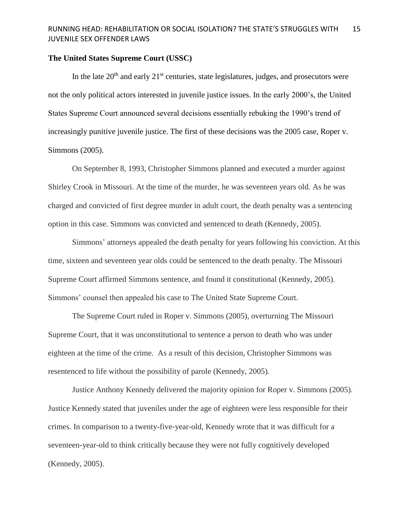### **The United States Supreme Court (USSC)**

In the late  $20<sup>th</sup>$  and early  $21<sup>st</sup>$  centuries, state legislatures, judges, and prosecutors were not the only political actors interested in juvenile justice issues. In the early 2000's, the United States Supreme Court announced several decisions essentially rebuking the 1990's trend of increasingly punitive juvenile justice. The first of these decisions was the 2005 case, Roper v. Simmons (2005).

On September 8, 1993, Christopher Simmons planned and executed a murder against Shirley Crook in Missouri. At the time of the murder, he was seventeen years old. As he was charged and convicted of first degree murder in adult court, the death penalty was a sentencing option in this case. Simmons was convicted and sentenced to death (Kennedy, 2005).

Simmons' attorneys appealed the death penalty for years following his conviction. At this time, sixteen and seventeen year olds could be sentenced to the death penalty. The Missouri Supreme Court affirmed Simmons sentence, and found it constitutional (Kennedy, 2005). Simmons' counsel then appealed his case to The United State Supreme Court.

The Supreme Court ruled in Roper v. Simmons (2005), overturning The Missouri Supreme Court, that it was unconstitutional to sentence a person to death who was under eighteen at the time of the crime. As a result of this decision, Christopher Simmons was resentenced to life without the possibility of parole (Kennedy, 2005).

Justice Anthony Kennedy delivered the majority opinion for Roper v. Simmons (2005). Justice Kennedy stated that juveniles under the age of eighteen were less responsible for their crimes. In comparison to a twenty-five-year-old, Kennedy wrote that it was difficult for a seventeen-year-old to think critically because they were not fully cognitively developed (Kennedy, 2005).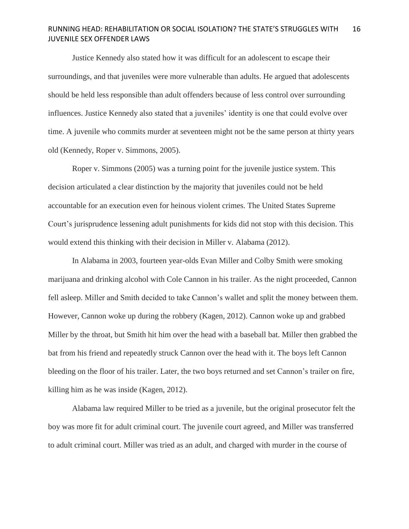Justice Kennedy also stated how it was difficult for an adolescent to escape their surroundings, and that juveniles were more vulnerable than adults. He argued that adolescents should be held less responsible than adult offenders because of less control over surrounding influences. Justice Kennedy also stated that a juveniles' identity is one that could evolve over time. A juvenile who commits murder at seventeen might not be the same person at thirty years old (Kennedy, Roper v. Simmons, 2005).

Roper v. Simmons (2005) was a turning point for the juvenile justice system. This decision articulated a clear distinction by the majority that juveniles could not be held accountable for an execution even for heinous violent crimes. The United States Supreme Court's jurisprudence lessening adult punishments for kids did not stop with this decision. This would extend this thinking with their decision in Miller v. Alabama (2012).

In Alabama in 2003, fourteen year-olds Evan Miller and Colby Smith were smoking marijuana and drinking alcohol with Cole Cannon in his trailer. As the night proceeded, Cannon fell asleep. Miller and Smith decided to take Cannon's wallet and split the money between them. However, Cannon woke up during the robbery (Kagen, 2012). Cannon woke up and grabbed Miller by the throat, but Smith hit him over the head with a baseball bat. Miller then grabbed the bat from his friend and repeatedly struck Cannon over the head with it. The boys left Cannon bleeding on the floor of his trailer. Later, the two boys returned and set Cannon's trailer on fire, killing him as he was inside (Kagen, 2012).

Alabama law required Miller to be tried as a juvenile, but the original prosecutor felt the boy was more fit for adult criminal court. The juvenile court agreed, and Miller was transferred to adult criminal court. Miller was tried as an adult, and charged with murder in the course of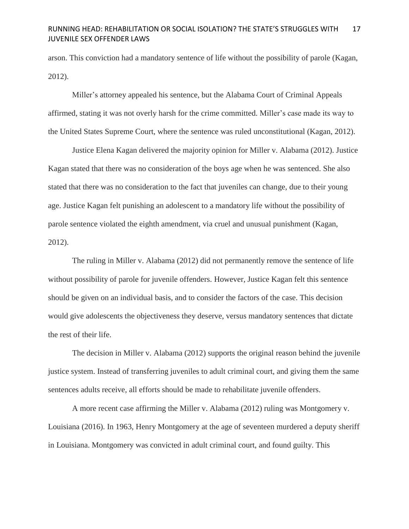arson. This conviction had a mandatory sentence of life without the possibility of parole (Kagan, 2012).

Miller's attorney appealed his sentence, but the Alabama Court of Criminal Appeals affirmed, stating it was not overly harsh for the crime committed. Miller's case made its way to the United States Supreme Court, where the sentence was ruled unconstitutional (Kagan, 2012).

Justice Elena Kagan delivered the majority opinion for Miller v. Alabama (2012). Justice Kagan stated that there was no consideration of the boys age when he was sentenced. She also stated that there was no consideration to the fact that juveniles can change, due to their young age. Justice Kagan felt punishing an adolescent to a mandatory life without the possibility of parole sentence violated the eighth amendment, via cruel and unusual punishment (Kagan, 2012).

The ruling in Miller v. Alabama (2012) did not permanently remove the sentence of life without possibility of parole for juvenile offenders. However, Justice Kagan felt this sentence should be given on an individual basis, and to consider the factors of the case. This decision would give adolescents the objectiveness they deserve, versus mandatory sentences that dictate the rest of their life.

The decision in Miller v. Alabama (2012) supports the original reason behind the juvenile justice system. Instead of transferring juveniles to adult criminal court, and giving them the same sentences adults receive, all efforts should be made to rehabilitate juvenile offenders.

A more recent case affirming the Miller v. Alabama (2012) ruling was Montgomery v. Louisiana (2016). In 1963, Henry Montgomery at the age of seventeen murdered a deputy sheriff in Louisiana. Montgomery was convicted in adult criminal court, and found guilty. This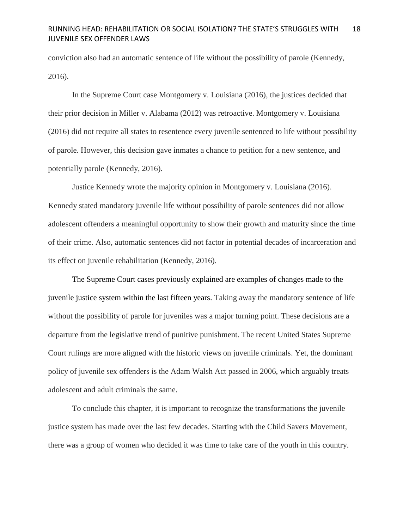conviction also had an automatic sentence of life without the possibility of parole (Kennedy, 2016).

In the Supreme Court case Montgomery v. Louisiana (2016), the justices decided that their prior decision in Miller v. Alabama (2012) was retroactive. Montgomery v. Louisiana (2016) did not require all states to resentence every juvenile sentenced to life without possibility of parole. However, this decision gave inmates a chance to petition for a new sentence, and potentially parole (Kennedy, 2016).

Justice Kennedy wrote the majority opinion in Montgomery v. Louisiana (2016). Kennedy stated mandatory juvenile life without possibility of parole sentences did not allow adolescent offenders a meaningful opportunity to show their growth and maturity since the time of their crime. Also, automatic sentences did not factor in potential decades of incarceration and its effect on juvenile rehabilitation (Kennedy, 2016).

The Supreme Court cases previously explained are examples of changes made to the juvenile justice system within the last fifteen years. Taking away the mandatory sentence of life without the possibility of parole for juveniles was a major turning point. These decisions are a departure from the legislative trend of punitive punishment. The recent United States Supreme Court rulings are more aligned with the historic views on juvenile criminals. Yet, the dominant policy of juvenile sex offenders is the Adam Walsh Act passed in 2006, which arguably treats adolescent and adult criminals the same.

To conclude this chapter, it is important to recognize the transformations the juvenile justice system has made over the last few decades. Starting with the Child Savers Movement, there was a group of women who decided it was time to take care of the youth in this country.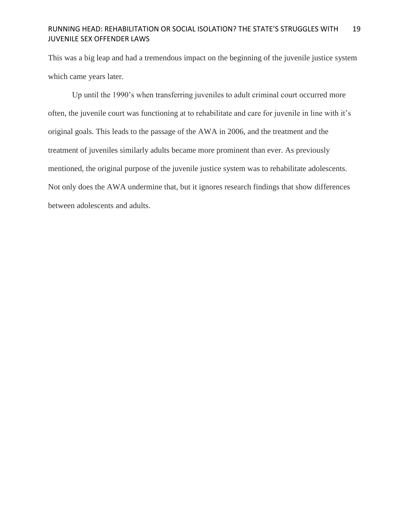This was a big leap and had a tremendous impact on the beginning of the juvenile justice system which came years later.

Up until the 1990's when transferring juveniles to adult criminal court occurred more often, the juvenile court was functioning at to rehabilitate and care for juvenile in line with it's original goals. This leads to the passage of the AWA in 2006, and the treatment and the treatment of juveniles similarly adults became more prominent than ever. As previously mentioned, the original purpose of the juvenile justice system was to rehabilitate adolescents. Not only does the AWA undermine that, but it ignores research findings that show differences between adolescents and adults.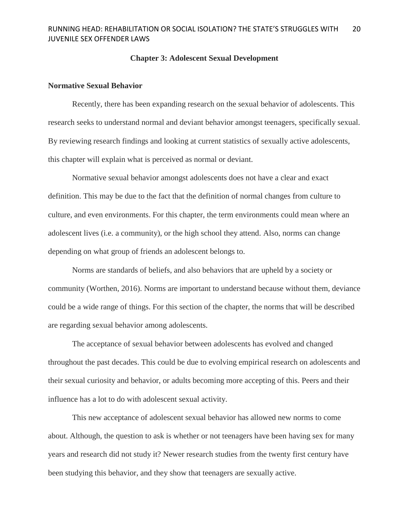### **Chapter 3: Adolescent Sexual Development**

# **Normative Sexual Behavior**

Recently, there has been expanding research on the sexual behavior of adolescents. This research seeks to understand normal and deviant behavior amongst teenagers, specifically sexual. By reviewing research findings and looking at current statistics of sexually active adolescents, this chapter will explain what is perceived as normal or deviant.

Normative sexual behavior amongst adolescents does not have a clear and exact definition. This may be due to the fact that the definition of normal changes from culture to culture, and even environments. For this chapter, the term environments could mean where an adolescent lives (i.e. a community), or the high school they attend. Also, norms can change depending on what group of friends an adolescent belongs to.

Norms are standards of beliefs, and also behaviors that are upheld by a society or community (Worthen, 2016). Norms are important to understand because without them, deviance could be a wide range of things. For this section of the chapter, the norms that will be described are regarding sexual behavior among adolescents.

The acceptance of sexual behavior between adolescents has evolved and changed throughout the past decades. This could be due to evolving empirical research on adolescents and their sexual curiosity and behavior, or adults becoming more accepting of this. Peers and their influence has a lot to do with adolescent sexual activity.

This new acceptance of adolescent sexual behavior has allowed new norms to come about. Although, the question to ask is whether or not teenagers have been having sex for many years and research did not study it? Newer research studies from the twenty first century have been studying this behavior, and they show that teenagers are sexually active.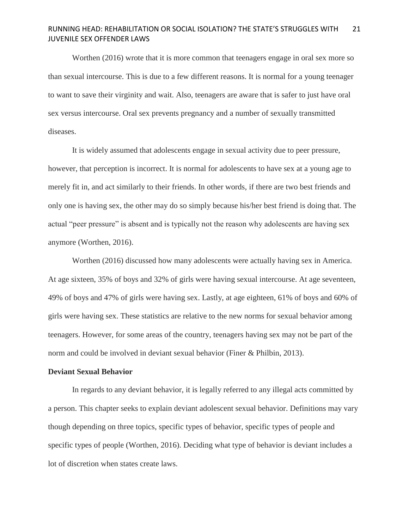Worthen (2016) wrote that it is more common that teenagers engage in oral sex more so than sexual intercourse. This is due to a few different reasons. It is normal for a young teenager to want to save their virginity and wait. Also, teenagers are aware that is safer to just have oral sex versus intercourse. Oral sex prevents pregnancy and a number of sexually transmitted diseases.

It is widely assumed that adolescents engage in sexual activity due to peer pressure, however, that perception is incorrect. It is normal for adolescents to have sex at a young age to merely fit in, and act similarly to their friends. In other words, if there are two best friends and only one is having sex, the other may do so simply because his/her best friend is doing that. The actual "peer pressure" is absent and is typically not the reason why adolescents are having sex anymore (Worthen, 2016).

Worthen (2016) discussed how many adolescents were actually having sex in America. At age sixteen, 35% of boys and 32% of girls were having sexual intercourse. At age seventeen, 49% of boys and 47% of girls were having sex. Lastly, at age eighteen, 61% of boys and 60% of girls were having sex. These statistics are relative to the new norms for sexual behavior among teenagers. However, for some areas of the country, teenagers having sex may not be part of the norm and could be involved in deviant sexual behavior (Finer & Philbin, 2013).

### **Deviant Sexual Behavior**

In regards to any deviant behavior, it is legally referred to any illegal acts committed by a person. This chapter seeks to explain deviant adolescent sexual behavior. Definitions may vary though depending on three topics, specific types of behavior, specific types of people and specific types of people (Worthen, 2016). Deciding what type of behavior is deviant includes a lot of discretion when states create laws.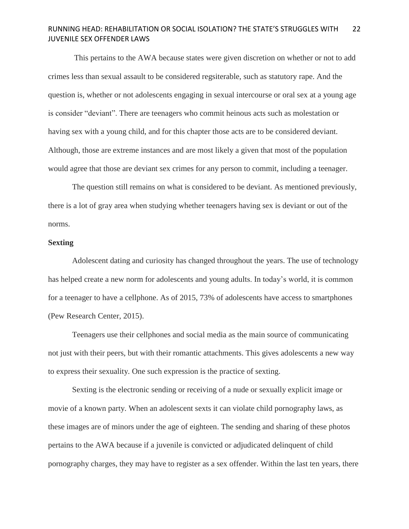This pertains to the AWA because states were given discretion on whether or not to add crimes less than sexual assault to be considered regsiterable, such as statutory rape. And the question is, whether or not adolescents engaging in sexual intercourse or oral sex at a young age is consider "deviant". There are teenagers who commit heinous acts such as molestation or having sex with a young child, and for this chapter those acts are to be considered deviant. Although, those are extreme instances and are most likely a given that most of the population would agree that those are deviant sex crimes for any person to commit, including a teenager.

The question still remains on what is considered to be deviant. As mentioned previously, there is a lot of gray area when studying whether teenagers having sex is deviant or out of the norms.

# **Sexting**

Adolescent dating and curiosity has changed throughout the years. The use of technology has helped create a new norm for adolescents and young adults. In today's world, it is common for a teenager to have a cellphone. As of 2015, 73% of adolescents have access to smartphones (Pew Research Center, 2015).

Teenagers use their cellphones and social media as the main source of communicating not just with their peers, but with their romantic attachments. This gives adolescents a new way to express their sexuality. One such expression is the practice of sexting.

Sexting is the electronic sending or receiving of a nude or sexually explicit image or movie of a known party. When an adolescent sexts it can violate child pornography laws, as these images are of minors under the age of eighteen. The sending and sharing of these photos pertains to the AWA because if a juvenile is convicted or adjudicated delinquent of child pornography charges, they may have to register as a sex offender. Within the last ten years, there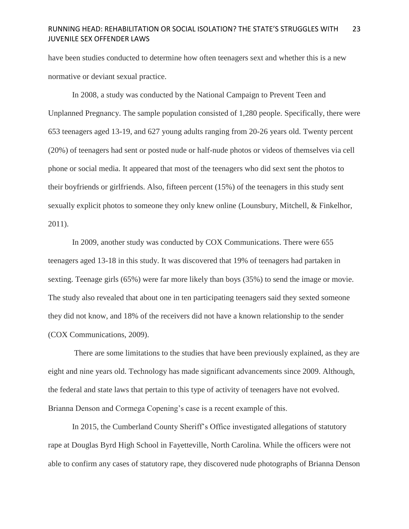have been studies conducted to determine how often teenagers sext and whether this is a new normative or deviant sexual practice.

In 2008, a study was conducted by the National Campaign to Prevent Teen and Unplanned Pregnancy. The sample population consisted of 1,280 people. Specifically, there were 653 teenagers aged 13-19, and 627 young adults ranging from 20-26 years old. Twenty percent (20%) of teenagers had sent or posted nude or half-nude photos or videos of themselves via cell phone or social media. It appeared that most of the teenagers who did sext sent the photos to their boyfriends or girlfriends. Also, fifteen percent (15%) of the teenagers in this study sent sexually explicit photos to someone they only knew online (Lounsbury, Mitchell, & Finkelhor, 2011).

In 2009, another study was conducted by COX Communications. There were 655 teenagers aged 13-18 in this study. It was discovered that 19% of teenagers had partaken in sexting. Teenage girls (65%) were far more likely than boys (35%) to send the image or movie. The study also revealed that about one in ten participating teenagers said they sexted someone they did not know, and 18% of the receivers did not have a known relationship to the sender (COX Communications, 2009).

There are some limitations to the studies that have been previously explained, as they are eight and nine years old. Technology has made significant advancements since 2009. Although, the federal and state laws that pertain to this type of activity of teenagers have not evolved. Brianna Denson and Cormega Copening's case is a recent example of this.

In 2015, the Cumberland County Sheriff's Office investigated allegations of statutory rape at Douglas Byrd High School in Fayetteville, North Carolina. While the officers were not able to confirm any cases of statutory rape, they discovered nude photographs of Brianna Denson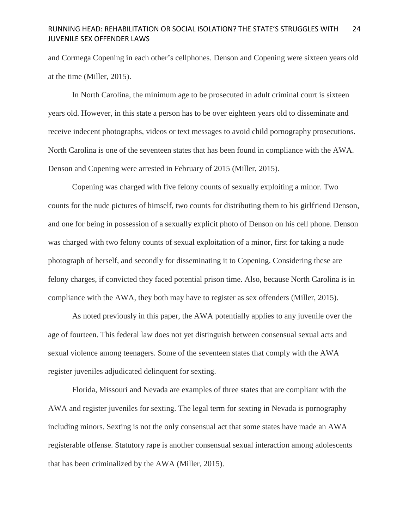and Cormega Copening in each other's cellphones. Denson and Copening were sixteen years old at the time (Miller, 2015).

In North Carolina, the minimum age to be prosecuted in adult criminal court is sixteen years old. However, in this state a person has to be over eighteen years old to disseminate and receive indecent photographs, videos or text messages to avoid child pornography prosecutions. North Carolina is one of the seventeen states that has been found in compliance with the AWA. Denson and Copening were arrested in February of 2015 (Miller, 2015).

Copening was charged with five felony counts of sexually exploiting a minor. Two counts for the nude pictures of himself, two counts for distributing them to his girlfriend Denson, and one for being in possession of a sexually explicit photo of Denson on his cell phone. Denson was charged with two felony counts of sexual exploitation of a minor, first for taking a nude photograph of herself, and secondly for disseminating it to Copening. Considering these are felony charges, if convicted they faced potential prison time. Also, because North Carolina is in compliance with the AWA, they both may have to register as sex offenders (Miller, 2015).

As noted previously in this paper, the AWA potentially applies to any juvenile over the age of fourteen. This federal law does not yet distinguish between consensual sexual acts and sexual violence among teenagers. Some of the seventeen states that comply with the AWA register juveniles adjudicated delinquent for sexting.

Florida, Missouri and Nevada are examples of three states that are compliant with the AWA and register juveniles for sexting. The legal term for sexting in Nevada is pornography including minors. Sexting is not the only consensual act that some states have made an AWA registerable offense. Statutory rape is another consensual sexual interaction among adolescents that has been criminalized by the AWA (Miller, 2015).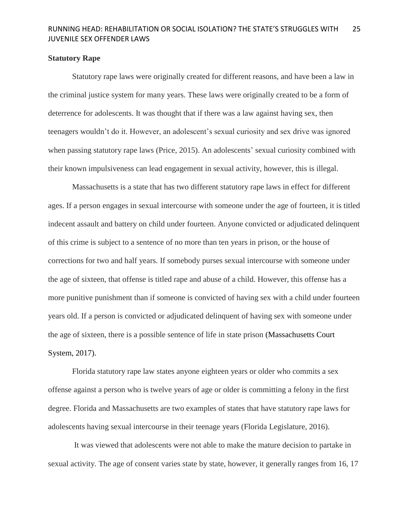### **Statutory Rape**

Statutory rape laws were originally created for different reasons, and have been a law in the criminal justice system for many years. These laws were originally created to be a form of deterrence for adolescents. It was thought that if there was a law against having sex, then teenagers wouldn't do it. However, an adolescent's sexual curiosity and sex drive was ignored when passing statutory rape laws (Price, 2015). An adolescents' sexual curiosity combined with their known impulsiveness can lead engagement in sexual activity, however, this is illegal.

Massachusetts is a state that has two different statutory rape laws in effect for different ages. If a person engages in sexual intercourse with someone under the age of fourteen, it is titled indecent assault and battery on child under fourteen. Anyone convicted or adjudicated delinquent of this crime is subject to a sentence of no more than ten years in prison, or the house of corrections for two and half years. If somebody purses sexual intercourse with someone under the age of sixteen, that offense is titled rape and abuse of a child. However, this offense has a more punitive punishment than if someone is convicted of having sex with a child under fourteen years old. If a person is convicted or adjudicated delinquent of having sex with someone under the age of sixteen, there is a possible sentence of life in state prison (Massachusetts Court System, 2017).

Florida statutory rape law states anyone eighteen years or older who commits a sex offense against a person who is twelve years of age or older is committing a felony in the first degree. Florida and Massachusetts are two examples of states that have statutory rape laws for adolescents having sexual intercourse in their teenage years (Florida Legislature, 2016).

It was viewed that adolescents were not able to make the mature decision to partake in sexual activity. The age of consent varies state by state, however, it generally ranges from 16, 17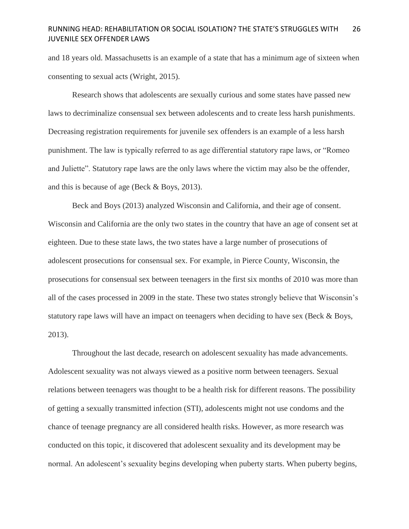and 18 years old. Massachusetts is an example of a state that has a minimum age of sixteen when consenting to sexual acts (Wright, 2015).

Research shows that adolescents are sexually curious and some states have passed new laws to decriminalize consensual sex between adolescents and to create less harsh punishments. Decreasing registration requirements for juvenile sex offenders is an example of a less harsh punishment. The law is typically referred to as age differential statutory rape laws, or "Romeo and Juliette". Statutory rape laws are the only laws where the victim may also be the offender, and this is because of age (Beck & Boys, 2013).

Beck and Boys (2013) analyzed Wisconsin and California, and their age of consent. Wisconsin and California are the only two states in the country that have an age of consent set at eighteen. Due to these state laws, the two states have a large number of prosecutions of adolescent prosecutions for consensual sex. For example, in Pierce County, Wisconsin, the prosecutions for consensual sex between teenagers in the first six months of 2010 was more than all of the cases processed in 2009 in the state. These two states strongly believe that Wisconsin's statutory rape laws will have an impact on teenagers when deciding to have sex (Beck & Boys, 2013).

Throughout the last decade, research on adolescent sexuality has made advancements. Adolescent sexuality was not always viewed as a positive norm between teenagers. Sexual relations between teenagers was thought to be a health risk for different reasons. The possibility of getting a sexually transmitted infection (STI), adolescents might not use condoms and the chance of teenage pregnancy are all considered health risks. However, as more research was conducted on this topic, it discovered that adolescent sexuality and its development may be normal. An adolescent's sexuality begins developing when puberty starts. When puberty begins,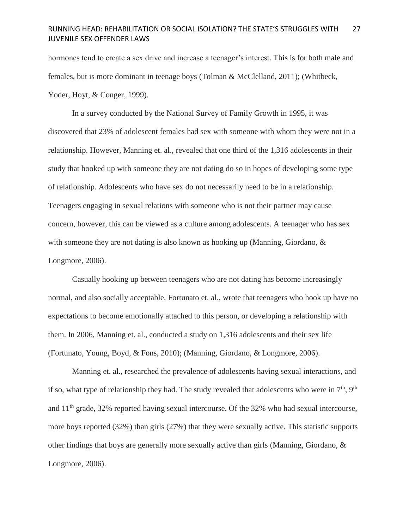hormones tend to create a sex drive and increase a teenager's interest. This is for both male and females, but is more dominant in teenage boys (Tolman & McClelland, 2011); (Whitbeck, Yoder, Hoyt, & Conger, 1999).

In a survey conducted by the National Survey of Family Growth in 1995, it was discovered that 23% of adolescent females had sex with someone with whom they were not in a relationship. However, Manning et. al., revealed that one third of the 1,316 adolescents in their study that hooked up with someone they are not dating do so in hopes of developing some type of relationship. Adolescents who have sex do not necessarily need to be in a relationship. Teenagers engaging in sexual relations with someone who is not their partner may cause concern, however, this can be viewed as a culture among adolescents. A teenager who has sex with someone they are not dating is also known as hooking up (Manning, Giordano, & Longmore, 2006).

Casually hooking up between teenagers who are not dating has become increasingly normal, and also socially acceptable. Fortunato et. al., wrote that teenagers who hook up have no expectations to become emotionally attached to this person, or developing a relationship with them. In 2006, Manning et. al., conducted a study on 1,316 adolescents and their sex life (Fortunato, Young, Boyd, & Fons, 2010); (Manning, Giordano, & Longmore, 2006).

Manning et. al., researched the prevalence of adolescents having sexual interactions, and if so, what type of relationship they had. The study revealed that adolescents who were in  $7<sup>th</sup>$ , 9<sup>th</sup> and  $11<sup>th</sup>$  grade, 32% reported having sexual intercourse. Of the 32% who had sexual intercourse, more boys reported (32%) than girls (27%) that they were sexually active. This statistic supports other findings that boys are generally more sexually active than girls (Manning, Giordano, & Longmore, 2006).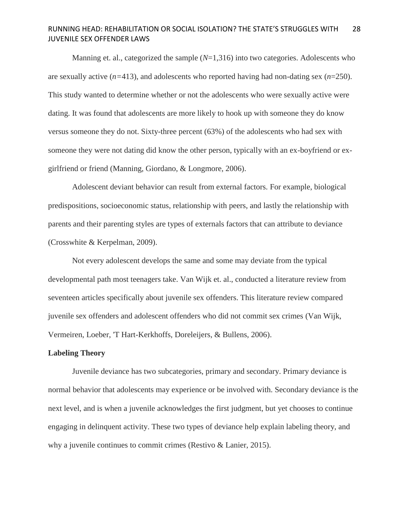Manning et. al., categorized the sample ( $N=1,316$ ) into two categories. Adolescents who are sexually active (*n=*413), and adolescents who reported having had non-dating sex (*n*=250). This study wanted to determine whether or not the adolescents who were sexually active were dating. It was found that adolescents are more likely to hook up with someone they do know versus someone they do not. Sixty-three percent (63%) of the adolescents who had sex with someone they were not dating did know the other person, typically with an ex-boyfriend or exgirlfriend or friend (Manning, Giordano, & Longmore, 2006).

Adolescent deviant behavior can result from external factors. For example, biological predispositions, socioeconomic status, relationship with peers, and lastly the relationship with parents and their parenting styles are types of externals factors that can attribute to deviance (Crosswhite & Kerpelman, 2009).

Not every adolescent develops the same and some may deviate from the typical developmental path most teenagers take. Van Wijk et. al., conducted a literature review from seventeen articles specifically about juvenile sex offenders. This literature review compared juvenile sex offenders and adolescent offenders who did not commit sex crimes (Van Wijk, Vermeiren, Loeber, 'T Hart-Kerkhoffs, Doreleijers, & Bullens, 2006).

# **Labeling Theory**

Juvenile deviance has two subcategories, primary and secondary. Primary deviance is normal behavior that adolescents may experience or be involved with. Secondary deviance is the next level, and is when a juvenile acknowledges the first judgment, but yet chooses to continue engaging in delinquent activity. These two types of deviance help explain labeling theory, and why a juvenile continues to commit crimes (Restivo & Lanier, 2015).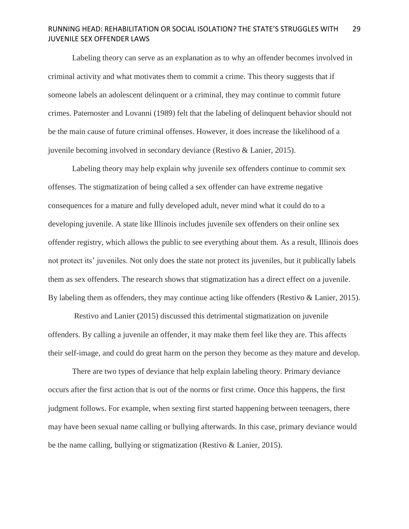Labeling theory can serve as an explanation as to why an offender becomes involved in criminal activity and what motivates them to commit a crime. This theory suggests that if someone labels an adolescent delinquent or a criminal, they may continue to commit future crimes. Paternoster and Lovanni (1989) felt that the labeling of delinquent behavior should not be the main cause of future criminal offenses. However, it does increase the likelihood of a juvenile becoming involved in secondary deviance (Restivo & Lanier, 2015).

Labeling theory may help explain why juvenile sex offenders continue to commit sex offenses. The stigmatization of being called a sex offender can have extreme negative consequences for a mature and fully developed adult, never mind what it could do to a developing juvenile. A state like Illinois includes juvenile sex offenders on their online sex offender registry, which allows the public to see everything about them. As a result, Illinois does not protect its' juveniles. Not only does the state not protect its juveniles, but it publically labels them as sex offenders. The research shows that stigmatization has a direct effect on a juvenile. By labeling them as offenders, they may continue acting like offenders (Restivo & Lanier, 2015).

Restivo and Lanier (2015) discussed this detrimental stigmatization on juvenile offenders. By calling a juvenile an offender, it may make them feel like they are. This affects their self-image, and could do great harm on the person they become as they mature and develop.

There are two types of deviance that help explain labeling theory. Primary deviance occurs after the first action that is out of the norms or first crime. Once this happens, the first judgment follows. For example, when sexting first started happening between teenagers, there may have been sexual name calling or bullying afterwards. In this case, primary deviance would be the name calling, bullying or stigmatization (Restivo & Lanier, 2015).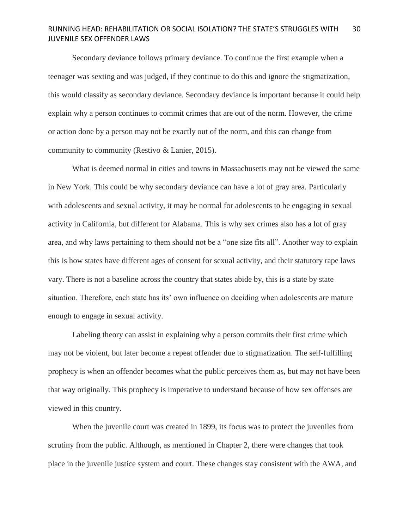Secondary deviance follows primary deviance. To continue the first example when a teenager was sexting and was judged, if they continue to do this and ignore the stigmatization, this would classify as secondary deviance. Secondary deviance is important because it could help explain why a person continues to commit crimes that are out of the norm. However, the crime or action done by a person may not be exactly out of the norm, and this can change from community to community (Restivo & Lanier, 2015).

What is deemed normal in cities and towns in Massachusetts may not be viewed the same in New York. This could be why secondary deviance can have a lot of gray area. Particularly with adolescents and sexual activity, it may be normal for adolescents to be engaging in sexual activity in California, but different for Alabama. This is why sex crimes also has a lot of gray area, and why laws pertaining to them should not be a "one size fits all". Another way to explain this is how states have different ages of consent for sexual activity, and their statutory rape laws vary. There is not a baseline across the country that states abide by, this is a state by state situation. Therefore, each state has its' own influence on deciding when adolescents are mature enough to engage in sexual activity.

Labeling theory can assist in explaining why a person commits their first crime which may not be violent, but later become a repeat offender due to stigmatization. The self-fulfilling prophecy is when an offender becomes what the public perceives them as, but may not have been that way originally. This prophecy is imperative to understand because of how sex offenses are viewed in this country.

When the juvenile court was created in 1899, its focus was to protect the juveniles from scrutiny from the public. Although, as mentioned in Chapter 2, there were changes that took place in the juvenile justice system and court. These changes stay consistent with the AWA, and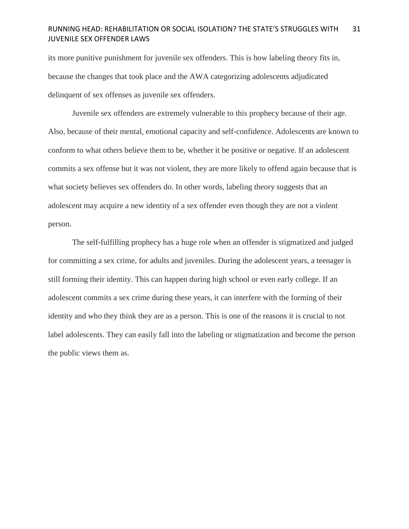its more punitive punishment for juvenile sex offenders. This is how labeling theory fits in, because the changes that took place and the AWA categorizing adolescents adjudicated delinquent of sex offenses as juvenile sex offenders.

Juvenile sex offenders are extremely vulnerable to this prophecy because of their age. Also, because of their mental, emotional capacity and self-confidence. Adolescents are known to conform to what others believe them to be, whether it be positive or negative. If an adolescent commits a sex offense but it was not violent, they are more likely to offend again because that is what society believes sex offenders do. In other words, labeling theory suggests that an adolescent may acquire a new identity of a sex offender even though they are not a violent person.

The self-fulfilling prophecy has a huge role when an offender is stigmatized and judged for committing a sex crime, for adults and juveniles. During the adolescent years, a teenager is still forming their identity. This can happen during high school or even early college. If an adolescent commits a sex crime during these years, it can interfere with the forming of their identity and who they think they are as a person. This is one of the reasons it is crucial to not label adolescents. They can easily fall into the labeling or stigmatization and become the person the public views them as.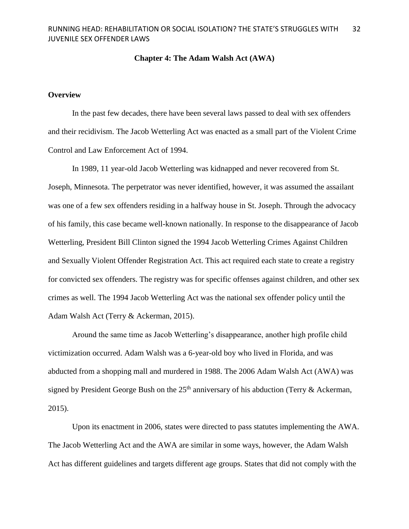### **Chapter 4: The Adam Walsh Act (AWA)**

### **Overview**

In the past few decades, there have been several laws passed to deal with sex offenders and their recidivism. The Jacob Wetterling Act was enacted as a small part of the Violent Crime Control and Law Enforcement Act of 1994.

In 1989, 11 year-old Jacob Wetterling was kidnapped and never recovered from St. Joseph, Minnesota. The perpetrator was never identified, however, it was assumed the assailant was one of a few sex offenders residing in a halfway house in St. Joseph. Through the advocacy of his family, this case became well-known nationally. In response to the disappearance of Jacob Wetterling, President Bill Clinton signed the 1994 Jacob Wetterling Crimes Against Children and Sexually Violent Offender Registration Act. This act required each state to create a registry for convicted sex offenders. The registry was for specific offenses against children, and other sex crimes as well. The 1994 Jacob Wetterling Act was the national sex offender policy until the Adam Walsh Act (Terry & Ackerman, 2015).

Around the same time as Jacob Wetterling's disappearance, another high profile child victimization occurred. Adam Walsh was a 6-year-old boy who lived in Florida, and was abducted from a shopping mall and murdered in 1988. The 2006 Adam Walsh Act (AWA) was signed by President George Bush on the  $25<sup>th</sup>$  anniversary of his abduction (Terry & Ackerman, 2015).

Upon its enactment in 2006, states were directed to pass statutes implementing the AWA. The Jacob Wetterling Act and the AWA are similar in some ways, however, the Adam Walsh Act has different guidelines and targets different age groups. States that did not comply with the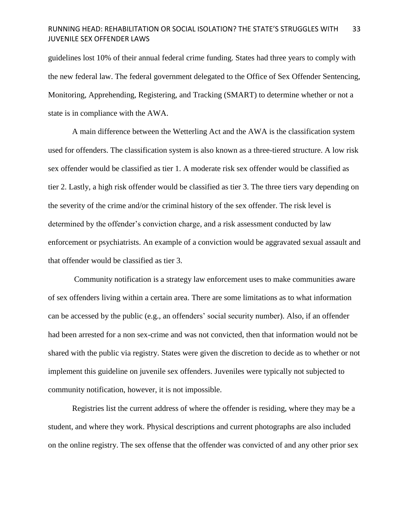guidelines lost 10% of their annual federal crime funding. States had three years to comply with the new federal law. The federal government delegated to the Office of Sex Offender Sentencing, Monitoring, Apprehending, Registering, and Tracking (SMART) to determine whether or not a state is in compliance with the AWA.

A main difference between the Wetterling Act and the AWA is the classification system used for offenders. The classification system is also known as a three-tiered structure. A low risk sex offender would be classified as tier 1. A moderate risk sex offender would be classified as tier 2. Lastly, a high risk offender would be classified as tier 3. The three tiers vary depending on the severity of the crime and/or the criminal history of the sex offender. The risk level is determined by the offender's conviction charge, and a risk assessment conducted by law enforcement or psychiatrists. An example of a conviction would be aggravated sexual assault and that offender would be classified as tier 3.

Community notification is a strategy law enforcement uses to make communities aware of sex offenders living within a certain area. There are some limitations as to what information can be accessed by the public (e.g., an offenders' social security number). Also, if an offender had been arrested for a non sex-crime and was not convicted, then that information would not be shared with the public via registry. States were given the discretion to decide as to whether or not implement this guideline on juvenile sex offenders. Juveniles were typically not subjected to community notification, however, it is not impossible.

Registries list the current address of where the offender is residing, where they may be a student, and where they work. Physical descriptions and current photographs are also included on the online registry. The sex offense that the offender was convicted of and any other prior sex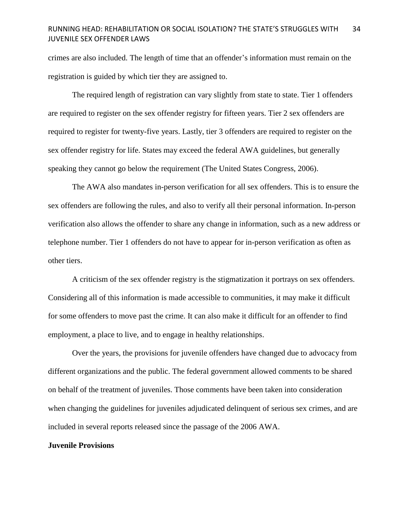crimes are also included. The length of time that an offender's information must remain on the registration is guided by which tier they are assigned to.

The required length of registration can vary slightly from state to state. Tier 1 offenders are required to register on the sex offender registry for fifteen years. Tier 2 sex offenders are required to register for twenty-five years. Lastly, tier 3 offenders are required to register on the sex offender registry for life. States may exceed the federal AWA guidelines, but generally speaking they cannot go below the requirement (The United States Congress, 2006).

The AWA also mandates in-person verification for all sex offenders. This is to ensure the sex offenders are following the rules, and also to verify all their personal information. In-person verification also allows the offender to share any change in information, such as a new address or telephone number. Tier 1 offenders do not have to appear for in-person verification as often as other tiers.

A criticism of the sex offender registry is the stigmatization it portrays on sex offenders. Considering all of this information is made accessible to communities, it may make it difficult for some offenders to move past the crime. It can also make it difficult for an offender to find employment, a place to live, and to engage in healthy relationships.

Over the years, the provisions for juvenile offenders have changed due to advocacy from different organizations and the public. The federal government allowed comments to be shared on behalf of the treatment of juveniles. Those comments have been taken into consideration when changing the guidelines for juveniles adjudicated delinquent of serious sex crimes, and are included in several reports released since the passage of the 2006 AWA.

### **Juvenile Provisions**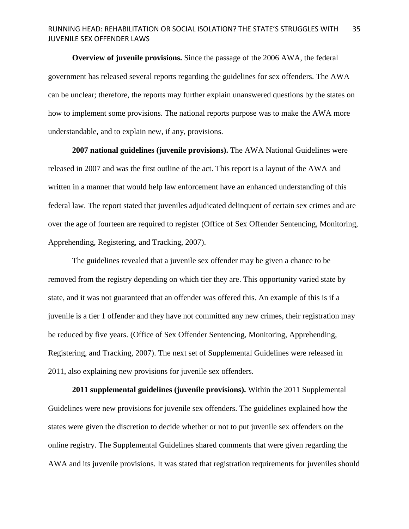**Overview of juvenile provisions.** Since the passage of the 2006 AWA, the federal government has released several reports regarding the guidelines for sex offenders. The AWA can be unclear; therefore, the reports may further explain unanswered questions by the states on how to implement some provisions. The national reports purpose was to make the AWA more understandable, and to explain new, if any, provisions.

**2007 national guidelines (juvenile provisions).** The AWA National Guidelines were released in 2007 and was the first outline of the act. This report is a layout of the AWA and written in a manner that would help law enforcement have an enhanced understanding of this federal law. The report stated that juveniles adjudicated delinquent of certain sex crimes and are over the age of fourteen are required to register (Office of Sex Offender Sentencing, Monitoring, Apprehending, Registering, and Tracking, 2007).

The guidelines revealed that a juvenile sex offender may be given a chance to be removed from the registry depending on which tier they are. This opportunity varied state by state, and it was not guaranteed that an offender was offered this. An example of this is if a juvenile is a tier 1 offender and they have not committed any new crimes, their registration may be reduced by five years. (Office of Sex Offender Sentencing, Monitoring, Apprehending, Registering, and Tracking, 2007). The next set of Supplemental Guidelines were released in 2011, also explaining new provisions for juvenile sex offenders.

**2011 supplemental guidelines (juvenile provisions).** Within the 2011 Supplemental Guidelines were new provisions for juvenile sex offenders. The guidelines explained how the states were given the discretion to decide whether or not to put juvenile sex offenders on the online registry. The Supplemental Guidelines shared comments that were given regarding the AWA and its juvenile provisions. It was stated that registration requirements for juveniles should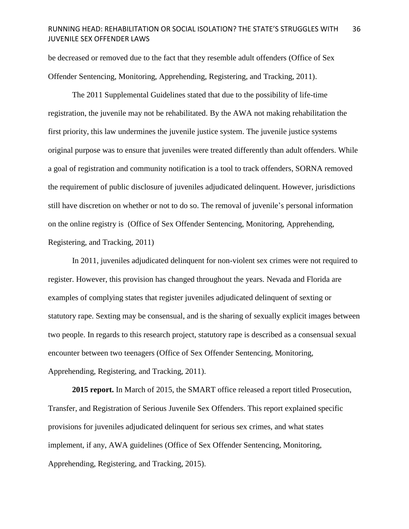be decreased or removed due to the fact that they resemble adult offenders (Office of Sex Offender Sentencing, Monitoring, Apprehending, Registering, and Tracking, 2011).

The 2011 Supplemental Guidelines stated that due to the possibility of life-time registration, the juvenile may not be rehabilitated. By the AWA not making rehabilitation the first priority, this law undermines the juvenile justice system. The juvenile justice systems original purpose was to ensure that juveniles were treated differently than adult offenders. While a goal of registration and community notification is a tool to track offenders, SORNA removed the requirement of public disclosure of juveniles adjudicated delinquent. However, jurisdictions still have discretion on whether or not to do so. The removal of juvenile's personal information on the online registry is (Office of Sex Offender Sentencing, Monitoring, Apprehending, Registering, and Tracking, 2011)

In 2011, juveniles adjudicated delinquent for non-violent sex crimes were not required to register. However, this provision has changed throughout the years. Nevada and Florida are examples of complying states that register juveniles adjudicated delinquent of sexting or statutory rape. Sexting may be consensual, and is the sharing of sexually explicit images between two people. In regards to this research project, statutory rape is described as a consensual sexual encounter between two teenagers (Office of Sex Offender Sentencing, Monitoring, Apprehending, Registering, and Tracking, 2011).

**2015 report.** In March of 2015, the SMART office released a report titled Prosecution, Transfer, and Registration of Serious Juvenile Sex Offenders. This report explained specific provisions for juveniles adjudicated delinquent for serious sex crimes, and what states implement, if any, AWA guidelines (Office of Sex Offender Sentencing, Monitoring, Apprehending, Registering, and Tracking, 2015).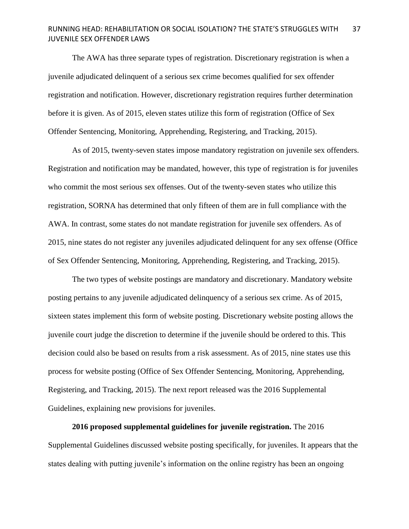The AWA has three separate types of registration. Discretionary registration is when a juvenile adjudicated delinquent of a serious sex crime becomes qualified for sex offender registration and notification. However, discretionary registration requires further determination before it is given. As of 2015, eleven states utilize this form of registration (Office of Sex Offender Sentencing, Monitoring, Apprehending, Registering, and Tracking, 2015).

As of 2015, twenty-seven states impose mandatory registration on juvenile sex offenders. Registration and notification may be mandated, however, this type of registration is for juveniles who commit the most serious sex offenses. Out of the twenty-seven states who utilize this registration, SORNA has determined that only fifteen of them are in full compliance with the AWA. In contrast, some states do not mandate registration for juvenile sex offenders. As of 2015, nine states do not register any juveniles adjudicated delinquent for any sex offense (Office of Sex Offender Sentencing, Monitoring, Apprehending, Registering, and Tracking, 2015).

The two types of website postings are mandatory and discretionary. Mandatory website posting pertains to any juvenile adjudicated delinquency of a serious sex crime. As of 2015, sixteen states implement this form of website posting. Discretionary website posting allows the juvenile court judge the discretion to determine if the juvenile should be ordered to this. This decision could also be based on results from a risk assessment. As of 2015, nine states use this process for website posting (Office of Sex Offender Sentencing, Monitoring, Apprehending, Registering, and Tracking, 2015). The next report released was the 2016 Supplemental Guidelines, explaining new provisions for juveniles.

**2016 proposed supplemental guidelines for juvenile registration.** The 2016 Supplemental Guidelines discussed website posting specifically, for juveniles. It appears that the states dealing with putting juvenile's information on the online registry has been an ongoing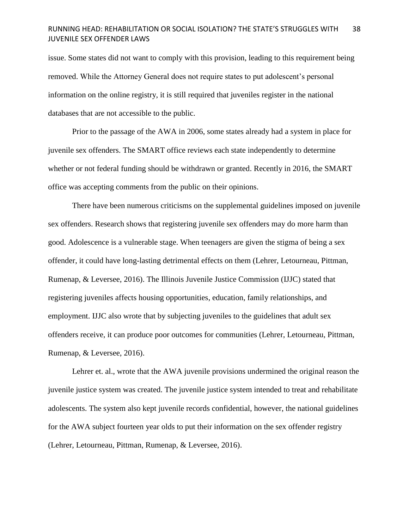issue. Some states did not want to comply with this provision, leading to this requirement being removed. While the Attorney General does not require states to put adolescent's personal information on the online registry, it is still required that juveniles register in the national databases that are not accessible to the public.

Prior to the passage of the AWA in 2006, some states already had a system in place for juvenile sex offenders. The SMART office reviews each state independently to determine whether or not federal funding should be withdrawn or granted. Recently in 2016, the SMART office was accepting comments from the public on their opinions.

There have been numerous criticisms on the supplemental guidelines imposed on juvenile sex offenders. Research shows that registering juvenile sex offenders may do more harm than good. Adolescence is a vulnerable stage. When teenagers are given the stigma of being a sex offender, it could have long-lasting detrimental effects on them (Lehrer, Letourneau, Pittman, Rumenap, & Leversee, 2016). The Illinois Juvenile Justice Commission (IJJC) stated that registering juveniles affects housing opportunities, education, family relationships, and employment. IJJC also wrote that by subjecting juveniles to the guidelines that adult sex offenders receive, it can produce poor outcomes for communities (Lehrer, Letourneau, Pittman, Rumenap, & Leversee, 2016).

Lehrer et. al., wrote that the AWA juvenile provisions undermined the original reason the juvenile justice system was created. The juvenile justice system intended to treat and rehabilitate adolescents. The system also kept juvenile records confidential, however, the national guidelines for the AWA subject fourteen year olds to put their information on the sex offender registry (Lehrer, Letourneau, Pittman, Rumenap, & Leversee, 2016).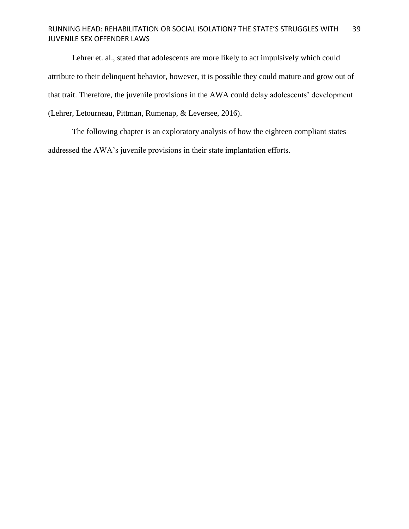Lehrer et. al., stated that adolescents are more likely to act impulsively which could attribute to their delinquent behavior, however, it is possible they could mature and grow out of that trait. Therefore, the juvenile provisions in the AWA could delay adolescents' development (Lehrer, Letourneau, Pittman, Rumenap, & Leversee, 2016).

The following chapter is an exploratory analysis of how the eighteen compliant states addressed the AWA's juvenile provisions in their state implantation efforts.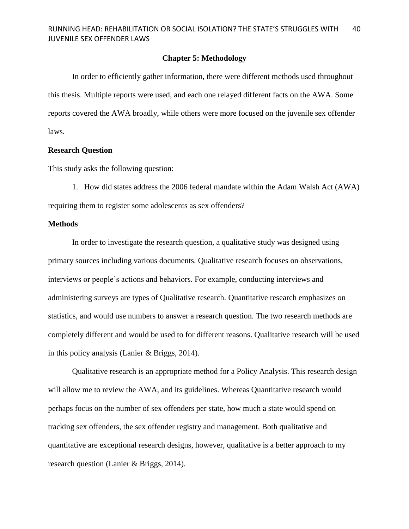### **Chapter 5: Methodology**

In order to efficiently gather information, there were different methods used throughout this thesis. Multiple reports were used, and each one relayed different facts on the AWA. Some reports covered the AWA broadly, while others were more focused on the juvenile sex offender laws.

### **Research Question**

This study asks the following question:

1. How did states address the 2006 federal mandate within the Adam Walsh Act (AWA) requiring them to register some adolescents as sex offenders?

### **Methods**

In order to investigate the research question, a qualitative study was designed using primary sources including various documents. Qualitative research focuses on observations, interviews or people's actions and behaviors. For example, conducting interviews and administering surveys are types of Qualitative research. Quantitative research emphasizes on statistics, and would use numbers to answer a research question. The two research methods are completely different and would be used to for different reasons. Qualitative research will be used in this policy analysis (Lanier & Briggs, 2014).

Qualitative research is an appropriate method for a Policy Analysis. This research design will allow me to review the AWA, and its guidelines. Whereas Quantitative research would perhaps focus on the number of sex offenders per state, how much a state would spend on tracking sex offenders, the sex offender registry and management. Both qualitative and quantitative are exceptional research designs, however, qualitative is a better approach to my research question (Lanier & Briggs, 2014).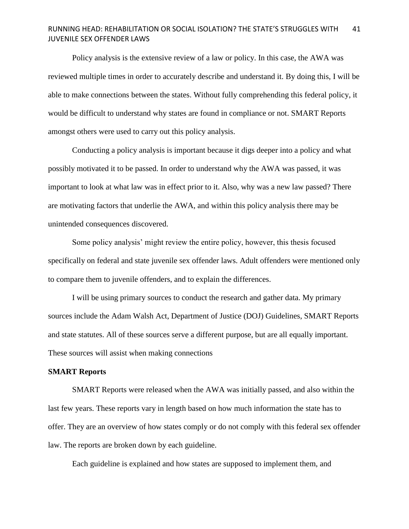Policy analysis is the extensive review of a law or policy. In this case, the AWA was reviewed multiple times in order to accurately describe and understand it. By doing this, I will be able to make connections between the states. Without fully comprehending this federal policy, it would be difficult to understand why states are found in compliance or not. SMART Reports amongst others were used to carry out this policy analysis.

Conducting a policy analysis is important because it digs deeper into a policy and what possibly motivated it to be passed. In order to understand why the AWA was passed, it was important to look at what law was in effect prior to it. Also, why was a new law passed? There are motivating factors that underlie the AWA, and within this policy analysis there may be unintended consequences discovered.

Some policy analysis' might review the entire policy, however, this thesis focused specifically on federal and state juvenile sex offender laws. Adult offenders were mentioned only to compare them to juvenile offenders, and to explain the differences.

I will be using primary sources to conduct the research and gather data. My primary sources include the Adam Walsh Act, Department of Justice (DOJ) Guidelines, SMART Reports and state statutes. All of these sources serve a different purpose, but are all equally important. These sources will assist when making connections

### **SMART Reports**

SMART Reports were released when the AWA was initially passed, and also within the last few years. These reports vary in length based on how much information the state has to offer. They are an overview of how states comply or do not comply with this federal sex offender law. The reports are broken down by each guideline.

Each guideline is explained and how states are supposed to implement them, and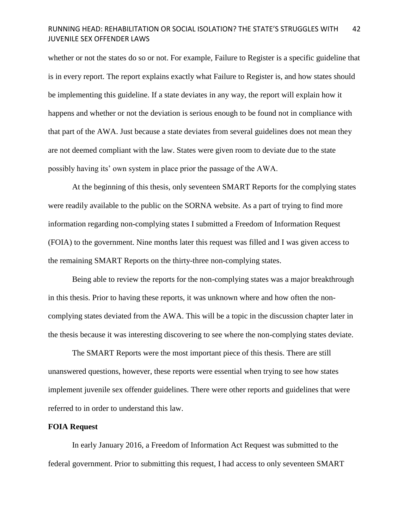whether or not the states do so or not. For example, Failure to Register is a specific guideline that is in every report. The report explains exactly what Failure to Register is, and how states should be implementing this guideline. If a state deviates in any way, the report will explain how it happens and whether or not the deviation is serious enough to be found not in compliance with that part of the AWA. Just because a state deviates from several guidelines does not mean they are not deemed compliant with the law. States were given room to deviate due to the state possibly having its' own system in place prior the passage of the AWA.

At the beginning of this thesis, only seventeen SMART Reports for the complying states were readily available to the public on the SORNA website. As a part of trying to find more information regarding non-complying states I submitted a Freedom of Information Request (FOIA) to the government. Nine months later this request was filled and I was given access to the remaining SMART Reports on the thirty-three non-complying states.

Being able to review the reports for the non-complying states was a major breakthrough in this thesis. Prior to having these reports, it was unknown where and how often the noncomplying states deviated from the AWA. This will be a topic in the discussion chapter later in the thesis because it was interesting discovering to see where the non-complying states deviate.

The SMART Reports were the most important piece of this thesis. There are still unanswered questions, however, these reports were essential when trying to see how states implement juvenile sex offender guidelines. There were other reports and guidelines that were referred to in order to understand this law.

### **FOIA Request**

In early January 2016, a Freedom of Information Act Request was submitted to the federal government. Prior to submitting this request, I had access to only seventeen SMART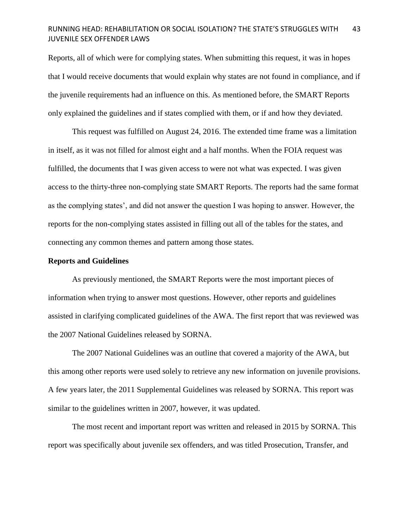Reports, all of which were for complying states. When submitting this request, it was in hopes that I would receive documents that would explain why states are not found in compliance, and if the juvenile requirements had an influence on this. As mentioned before, the SMART Reports only explained the guidelines and if states complied with them, or if and how they deviated.

This request was fulfilled on August 24, 2016. The extended time frame was a limitation in itself, as it was not filled for almost eight and a half months. When the FOIA request was fulfilled, the documents that I was given access to were not what was expected. I was given access to the thirty-three non-complying state SMART Reports. The reports had the same format as the complying states', and did not answer the question I was hoping to answer. However, the reports for the non-complying states assisted in filling out all of the tables for the states, and connecting any common themes and pattern among those states.

### **Reports and Guidelines**

As previously mentioned, the SMART Reports were the most important pieces of information when trying to answer most questions. However, other reports and guidelines assisted in clarifying complicated guidelines of the AWA. The first report that was reviewed was the 2007 National Guidelines released by SORNA.

The 2007 National Guidelines was an outline that covered a majority of the AWA, but this among other reports were used solely to retrieve any new information on juvenile provisions. A few years later, the 2011 Supplemental Guidelines was released by SORNA. This report was similar to the guidelines written in 2007, however, it was updated.

The most recent and important report was written and released in 2015 by SORNA. This report was specifically about juvenile sex offenders, and was titled Prosecution, Transfer, and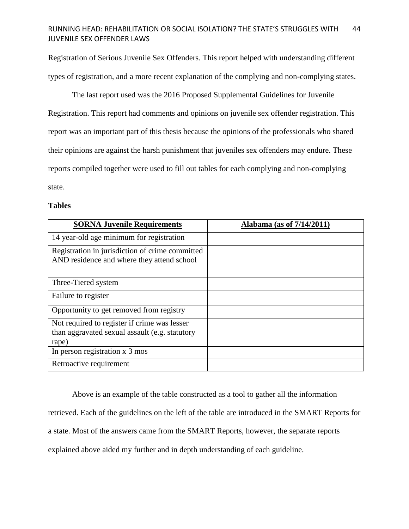Registration of Serious Juvenile Sex Offenders. This report helped with understanding different types of registration, and a more recent explanation of the complying and non-complying states.

The last report used was the 2016 Proposed Supplemental Guidelines for Juvenile Registration. This report had comments and opinions on juvenile sex offender registration. This report was an important part of this thesis because the opinions of the professionals who shared their opinions are against the harsh punishment that juveniles sex offenders may endure. These reports compiled together were used to fill out tables for each complying and non-complying state.

### **Tables**

| <b>SORNA Juvenile Requirements</b>                                                                      | Alabama (as of 7/14/2011) |
|---------------------------------------------------------------------------------------------------------|---------------------------|
| 14 year-old age minimum for registration                                                                |                           |
| Registration in jurisdiction of crime committed<br>AND residence and where they attend school           |                           |
| Three-Tiered system                                                                                     |                           |
| Failure to register                                                                                     |                           |
| Opportunity to get removed from registry                                                                |                           |
| Not required to register if crime was lesser<br>than aggravated sexual assault (e.g. statutory<br>rape) |                           |
| In person registration x 3 mos                                                                          |                           |
| Retroactive requirement                                                                                 |                           |

Above is an example of the table constructed as a tool to gather all the information retrieved. Each of the guidelines on the left of the table are introduced in the SMART Reports for a state. Most of the answers came from the SMART Reports, however, the separate reports explained above aided my further and in depth understanding of each guideline.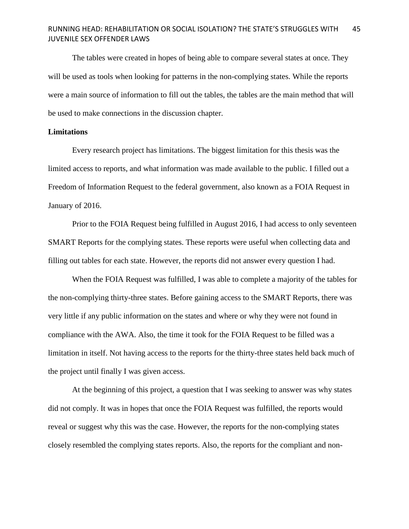The tables were created in hopes of being able to compare several states at once. They will be used as tools when looking for patterns in the non-complying states. While the reports were a main source of information to fill out the tables, the tables are the main method that will be used to make connections in the discussion chapter.

### **Limitations**

Every research project has limitations. The biggest limitation for this thesis was the limited access to reports, and what information was made available to the public. I filled out a Freedom of Information Request to the federal government, also known as a FOIA Request in January of 2016.

Prior to the FOIA Request being fulfilled in August 2016, I had access to only seventeen SMART Reports for the complying states. These reports were useful when collecting data and filling out tables for each state. However, the reports did not answer every question I had.

When the FOIA Request was fulfilled, I was able to complete a majority of the tables for the non-complying thirty-three states. Before gaining access to the SMART Reports, there was very little if any public information on the states and where or why they were not found in compliance with the AWA. Also, the time it took for the FOIA Request to be filled was a limitation in itself. Not having access to the reports for the thirty-three states held back much of the project until finally I was given access.

At the beginning of this project, a question that I was seeking to answer was why states did not comply. It was in hopes that once the FOIA Request was fulfilled, the reports would reveal or suggest why this was the case. However, the reports for the non-complying states closely resembled the complying states reports. Also, the reports for the compliant and non-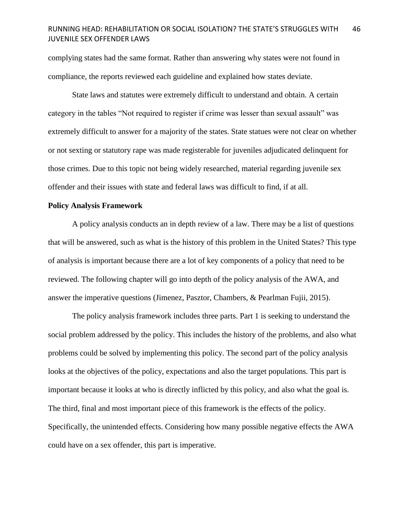complying states had the same format. Rather than answering why states were not found in compliance, the reports reviewed each guideline and explained how states deviate.

State laws and statutes were extremely difficult to understand and obtain. A certain category in the tables "Not required to register if crime was lesser than sexual assault" was extremely difficult to answer for a majority of the states. State statues were not clear on whether or not sexting or statutory rape was made registerable for juveniles adjudicated delinquent for those crimes. Due to this topic not being widely researched, material regarding juvenile sex offender and their issues with state and federal laws was difficult to find, if at all.

### **Policy Analysis Framework**

A policy analysis conducts an in depth review of a law. There may be a list of questions that will be answered, such as what is the history of this problem in the United States? This type of analysis is important because there are a lot of key components of a policy that need to be reviewed. The following chapter will go into depth of the policy analysis of the AWA, and answer the imperative questions (Jimenez, Pasztor, Chambers, & Pearlman Fujii, 2015).

The policy analysis framework includes three parts. Part 1 is seeking to understand the social problem addressed by the policy. This includes the history of the problems, and also what problems could be solved by implementing this policy. The second part of the policy analysis looks at the objectives of the policy, expectations and also the target populations. This part is important because it looks at who is directly inflicted by this policy, and also what the goal is. The third, final and most important piece of this framework is the effects of the policy. Specifically, the unintended effects. Considering how many possible negative effects the AWA could have on a sex offender, this part is imperative.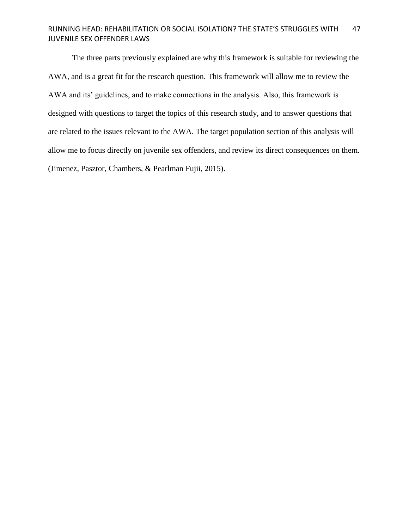The three parts previously explained are why this framework is suitable for reviewing the AWA, and is a great fit for the research question. This framework will allow me to review the AWA and its' guidelines, and to make connections in the analysis. Also, this framework is designed with questions to target the topics of this research study, and to answer questions that are related to the issues relevant to the AWA. The target population section of this analysis will allow me to focus directly on juvenile sex offenders, and review its direct consequences on them. (Jimenez, Pasztor, Chambers, & Pearlman Fujii, 2015).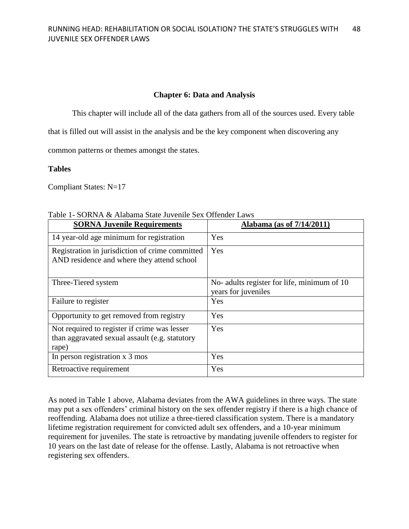### **Chapter 6: Data and Analysis**

This chapter will include all of the data gathers from all of the sources used. Every table

that is filled out will assist in the analysis and be the key component when discovering any

common patterns or themes amongst the states.

### **Tables**

Compliant States: N=17

| <b>SORNA Juvenile Requirements</b>                                                                      | <u>Alabama</u> (as of 7/14/2011)                                   |
|---------------------------------------------------------------------------------------------------------|--------------------------------------------------------------------|
| 14 year-old age minimum for registration                                                                | Yes                                                                |
| Registration in jurisdiction of crime committed<br>AND residence and where they attend school           | Yes                                                                |
| Three-Tiered system                                                                                     | No- adults register for life, minimum of 10<br>years for juveniles |
| Failure to register                                                                                     | Yes                                                                |
| Opportunity to get removed from registry                                                                | Yes                                                                |
| Not required to register if crime was lesser<br>than aggravated sexual assault (e.g. statutory<br>rape) | Yes                                                                |
| In person registration x 3 mos                                                                          | Yes                                                                |
| Retroactive requirement                                                                                 | Yes                                                                |

Table 1- SORNA & Alabama State Juvenile Sex Offender Laws

As noted in Table 1 above, Alabama deviates from the AWA guidelines in three ways. The state may put a sex offenders' criminal history on the sex offender registry if there is a high chance of reoffending. Alabama does not utilize a three-tiered classification system. There is a mandatory lifetime registration requirement for convicted adult sex offenders, and a 10-year minimum requirement for juveniles. The state is retroactive by mandating juvenile offenders to register for 10 years on the last date of release for the offense. Lastly, Alabama is not retroactive when registering sex offenders.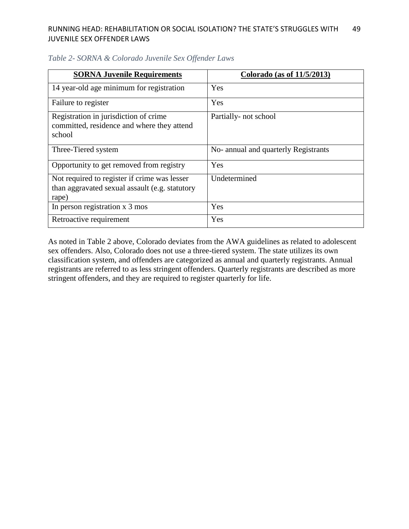| <b>SORNA Juvenile Requirements</b>                                                                      | Colorado (as of 11/5/2013)           |
|---------------------------------------------------------------------------------------------------------|--------------------------------------|
| 14 year-old age minimum for registration                                                                | Yes                                  |
| Failure to register                                                                                     | Yes                                  |
| Registration in jurisdiction of crime<br>committed, residence and where they attend<br>school           | Partially- not school                |
| Three-Tiered system                                                                                     | No- annual and quarterly Registrants |
| Opportunity to get removed from registry                                                                | <b>Yes</b>                           |
| Not required to register if crime was lesser<br>than aggravated sexual assault (e.g. statutory<br>rape) | Undetermined                         |
| In person registration x 3 mos                                                                          | Yes                                  |
| Retroactive requirement                                                                                 | Yes                                  |

### *Table 2- SORNA & Colorado Juvenile Sex Offender Laws*

As noted in Table 2 above, Colorado deviates from the AWA guidelines as related to adolescent sex offenders. Also, Colorado does not use a three-tiered system. The state utilizes its own classification system, and offenders are categorized as annual and quarterly registrants. Annual registrants are referred to as less stringent offenders. Quarterly registrants are described as more stringent offenders, and they are required to register quarterly for life.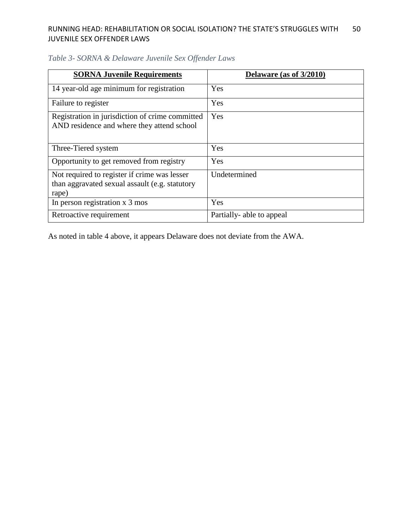| <b>SORNA Juvenile Requirements</b>                                                                      | Delaware (as of 3/2010)  |
|---------------------------------------------------------------------------------------------------------|--------------------------|
| 14 year-old age minimum for registration                                                                | Yes                      |
| Failure to register                                                                                     | Yes                      |
| Registration in jurisdiction of crime committed<br>AND residence and where they attend school           | Yes                      |
| Three-Tiered system                                                                                     | Yes                      |
| Opportunity to get removed from registry                                                                | Yes                      |
| Not required to register if crime was lesser<br>than aggravated sexual assault (e.g. statutory<br>rape) | Undetermined             |
| In person registration x 3 mos                                                                          | Yes                      |
| Retroactive requirement                                                                                 | Partially-able to appeal |

## *Table 3- SORNA & Delaware Juvenile Sex Offender Laws*

As noted in table 4 above, it appears Delaware does not deviate from the AWA.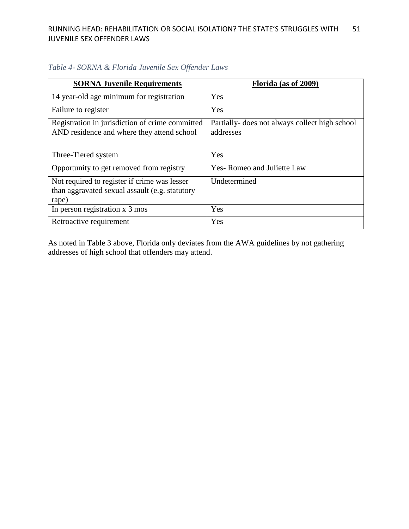| <b>SORNA Juvenile Requirements</b>                                                                      | Florida (as of 2009)                                        |
|---------------------------------------------------------------------------------------------------------|-------------------------------------------------------------|
| 14 year-old age minimum for registration                                                                | Yes                                                         |
| Failure to register                                                                                     | Yes                                                         |
| Registration in jurisdiction of crime committed<br>AND residence and where they attend school           | Partially- does not always collect high school<br>addresses |
| Three-Tiered system                                                                                     | Yes                                                         |
| Opportunity to get removed from registry                                                                | Yes-Romeo and Juliette Law                                  |
| Not required to register if crime was lesser<br>than aggravated sexual assault (e.g. statutory<br>rape) | Undetermined                                                |
| In person registration x 3 mos                                                                          | Yes                                                         |
| Retroactive requirement                                                                                 | Yes                                                         |

*Table 4- SORNA & Florida Juvenile Sex Offender Laws*

As noted in Table 3 above, Florida only deviates from the AWA guidelines by not gathering addresses of high school that offenders may attend.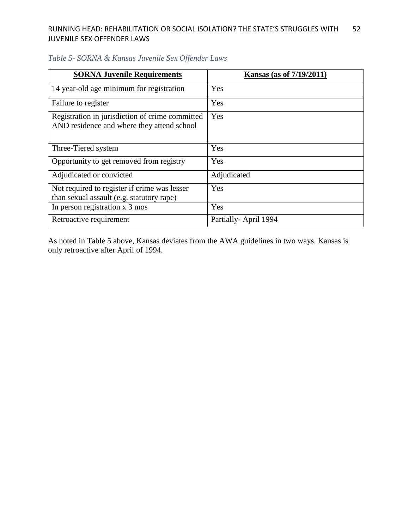| <b>SORNA Juvenile Requirements</b>                                                            | <b>Kansas (as of 7/19/2011)</b> |
|-----------------------------------------------------------------------------------------------|---------------------------------|
| 14 year-old age minimum for registration                                                      | Yes                             |
| Failure to register                                                                           | Yes                             |
| Registration in jurisdiction of crime committed<br>AND residence and where they attend school | Yes                             |
| Three-Tiered system                                                                           | Yes                             |
| Opportunity to get removed from registry                                                      | Yes                             |
| Adjudicated or convicted                                                                      | Adjudicated                     |
| Not required to register if crime was lesser<br>than sexual assault (e.g. statutory rape)     | Yes                             |
| In person registration x 3 mos                                                                | Yes                             |
| Retroactive requirement                                                                       | Partially-April 1994            |

## *Table 5- SORNA & Kansas Juvenile Sex Offender Laws*

As noted in Table 5 above, Kansas deviates from the AWA guidelines in two ways. Kansas is only retroactive after April of 1994.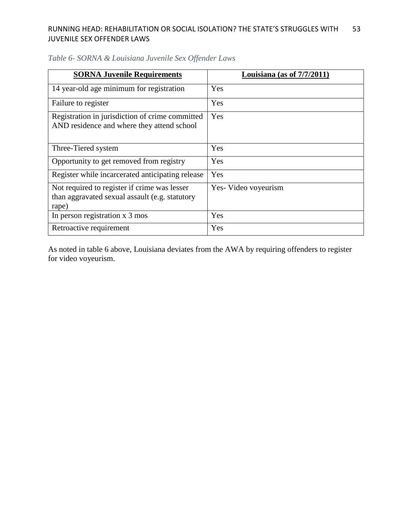| <b>SORNA Juvenile Requirements</b>                                                                      | Louisiana (as of $7/7/2011$ ) |
|---------------------------------------------------------------------------------------------------------|-------------------------------|
| 14 year-old age minimum for registration                                                                | Yes                           |
| Failure to register                                                                                     | Yes                           |
| Registration in jurisdiction of crime committed<br>AND residence and where they attend school           | Yes                           |
| Three-Tiered system                                                                                     | Yes                           |
| Opportunity to get removed from registry                                                                | Yes                           |
| Register while incarcerated anticipating release                                                        | Yes                           |
| Not required to register if crime was lesser<br>than aggravated sexual assault (e.g. statutory<br>rape) | Yes-Video voyeurism           |
| In person registration x 3 mos                                                                          | Yes                           |
| Retroactive requirement                                                                                 | Yes                           |

## *Table 6- SORNA & Louisiana Juvenile Sex Offender Laws*

As noted in table 6 above, Louisiana deviates from the AWA by requiring offenders to register for video voyeurism.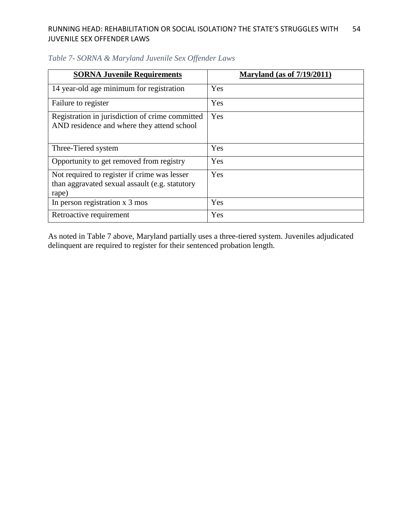| <b>SORNA Juvenile Requirements</b>                                                                      | <b>Maryland (as of 7/19/2011)</b> |
|---------------------------------------------------------------------------------------------------------|-----------------------------------|
| 14 year-old age minimum for registration                                                                | Yes                               |
| Failure to register                                                                                     | Yes                               |
| Registration in jurisdiction of crime committed<br>AND residence and where they attend school           | Yes                               |
| Three-Tiered system                                                                                     | Yes                               |
| Opportunity to get removed from registry                                                                | Yes                               |
| Not required to register if crime was lesser<br>than aggravated sexual assault (e.g. statutory<br>rape) | Yes                               |
| In person registration x 3 mos                                                                          | Yes                               |
| Retroactive requirement                                                                                 | Yes                               |

## *Table 7- SORNA & Maryland Juvenile Sex Offender Laws*

As noted in Table 7 above, Maryland partially uses a three-tiered system. Juveniles adjudicated delinquent are required to register for their sentenced probation length.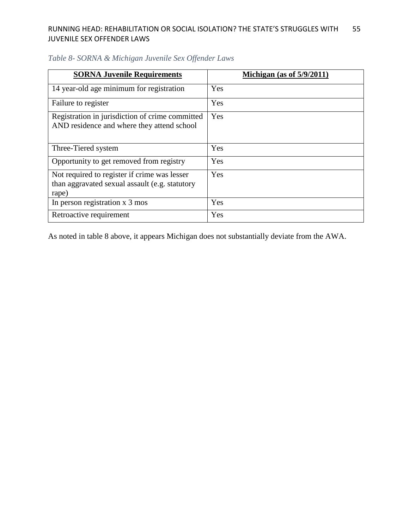| <b>SORNA Juvenile Requirements</b>                                                                      | Michigan (as of $5/9/2011$ ) |
|---------------------------------------------------------------------------------------------------------|------------------------------|
| 14 year-old age minimum for registration                                                                | Yes                          |
| Failure to register                                                                                     | Yes                          |
| Registration in jurisdiction of crime committed<br>AND residence and where they attend school           | Yes                          |
| Three-Tiered system                                                                                     | Yes                          |
| Opportunity to get removed from registry                                                                | Yes                          |
| Not required to register if crime was lesser<br>than aggravated sexual assault (e.g. statutory<br>rape) | Yes                          |
| In person registration x 3 mos                                                                          | Yes                          |
| Retroactive requirement                                                                                 | Yes                          |

## *Table 8- SORNA & Michigan Juvenile Sex Offender Laws*

As noted in table 8 above, it appears Michigan does not substantially deviate from the AWA.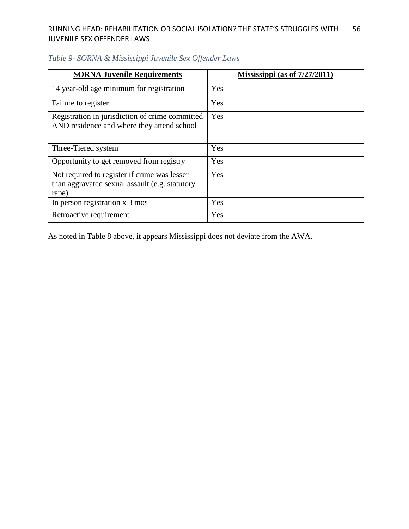| <b>SORNA Juvenile Requirements</b>                                                                      | Mississippi (as of $7/27/2011$ ) |
|---------------------------------------------------------------------------------------------------------|----------------------------------|
| 14 year-old age minimum for registration                                                                | Yes                              |
| Failure to register                                                                                     | Yes                              |
| Registration in jurisdiction of crime committed<br>AND residence and where they attend school           | Yes                              |
| Three-Tiered system                                                                                     | Yes                              |
| Opportunity to get removed from registry                                                                | Yes                              |
| Not required to register if crime was lesser<br>than aggravated sexual assault (e.g. statutory<br>rape) | Yes                              |
| In person registration x 3 mos                                                                          | Yes                              |
| Retroactive requirement                                                                                 | Yes                              |

## *Table 9- SORNA & Mississippi Juvenile Sex Offender Laws*

As noted in Table 8 above, it appears Mississippi does not deviate from the AWA.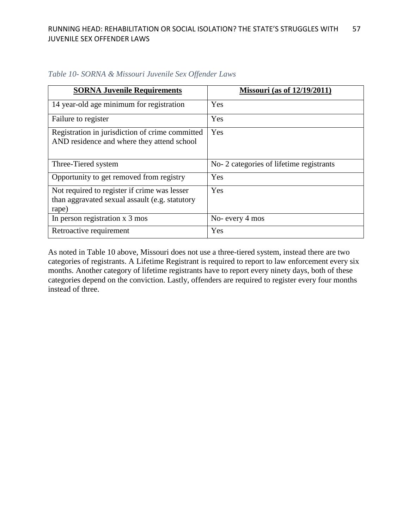| <b>SORNA Juvenile Requirements</b>                                                                      | <b>Missouri</b> (as of 12/19/2011)      |
|---------------------------------------------------------------------------------------------------------|-----------------------------------------|
| 14 year-old age minimum for registration                                                                | Yes                                     |
| Failure to register                                                                                     | Yes                                     |
| Registration in jurisdiction of crime committed<br>AND residence and where they attend school           | Yes                                     |
| Three-Tiered system                                                                                     | No-2 categories of lifetime registrants |
| Opportunity to get removed from registry                                                                | Yes                                     |
| Not required to register if crime was lesser<br>than aggravated sexual assault (e.g. statutory<br>rape) | Yes                                     |
| In person registration x 3 mos                                                                          | No- every 4 mos                         |
| Retroactive requirement                                                                                 | Yes                                     |

### *Table 10- SORNA & Missouri Juvenile Sex Offender Laws*

As noted in Table 10 above, Missouri does not use a three-tiered system, instead there are two categories of registrants. A Lifetime Registrant is required to report to law enforcement every six months. Another category of lifetime registrants have to report every ninety days, both of these categories depend on the conviction. Lastly, offenders are required to register every four months instead of three.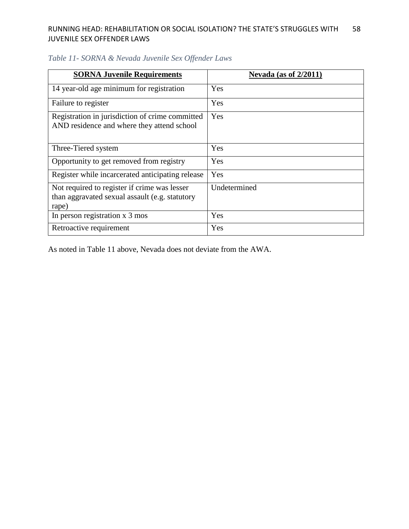| <b>SORNA Juvenile Requirements</b>                                                                      | Nevada (as of $2/2011$ ) |
|---------------------------------------------------------------------------------------------------------|--------------------------|
| 14 year-old age minimum for registration                                                                | Yes                      |
| Failure to register                                                                                     | Yes                      |
| Registration in jurisdiction of crime committed<br>AND residence and where they attend school           | Yes                      |
| Three-Tiered system                                                                                     | Yes                      |
| Opportunity to get removed from registry                                                                | Yes                      |
| Register while incarcerated anticipating release                                                        | Yes                      |
| Not required to register if crime was lesser<br>than aggravated sexual assault (e.g. statutory<br>rape) | Undetermined             |
| In person registration x 3 mos                                                                          | Yes                      |
| Retroactive requirement                                                                                 | Yes                      |

## *Table 11- SORNA & Nevada Juvenile Sex Offender Laws*

As noted in Table 11 above, Nevada does not deviate from the AWA.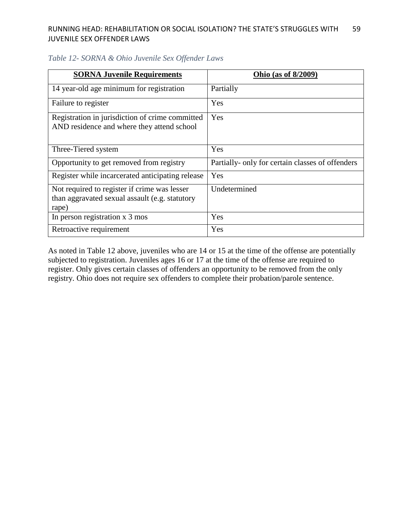| <b>SORNA Juvenile Requirements</b>                                                                      | <b>Ohio</b> (as of 8/2009)                       |
|---------------------------------------------------------------------------------------------------------|--------------------------------------------------|
| 14 year-old age minimum for registration                                                                | Partially                                        |
| Failure to register                                                                                     | Yes                                              |
| Registration in jurisdiction of crime committed<br>AND residence and where they attend school           | Yes                                              |
| Three-Tiered system                                                                                     | Yes                                              |
| Opportunity to get removed from registry                                                                | Partially- only for certain classes of offenders |
| Register while incarcerated anticipating release                                                        | Yes                                              |
| Not required to register if crime was lesser<br>than aggravated sexual assault (e.g. statutory<br>rape) | Undetermined                                     |
| In person registration x 3 mos                                                                          | Yes                                              |
| Retroactive requirement                                                                                 | Yes                                              |

### *Table 12- SORNA & Ohio Juvenile Sex Offender Laws*

As noted in Table 12 above, juveniles who are 14 or 15 at the time of the offense are potentially subjected to registration. Juveniles ages 16 or 17 at the time of the offense are required to register. Only gives certain classes of offenders an opportunity to be removed from the only registry. Ohio does not require sex offenders to complete their probation/parole sentence.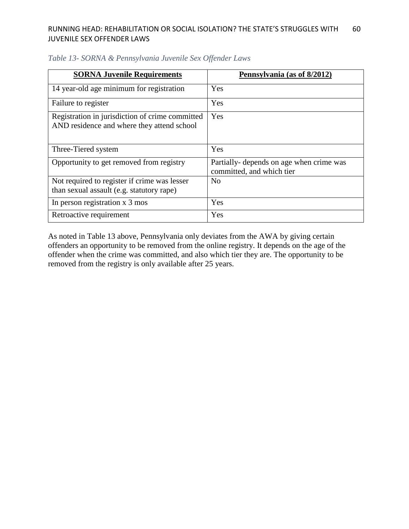| <b>SORNA Juvenile Requirements</b>                                                            | Pennsylvania (as of 8/2012)                                           |
|-----------------------------------------------------------------------------------------------|-----------------------------------------------------------------------|
| 14 year-old age minimum for registration                                                      | Yes                                                                   |
| Failure to register                                                                           | Yes                                                                   |
| Registration in jurisdiction of crime committed<br>AND residence and where they attend school | Yes                                                                   |
| Three-Tiered system                                                                           | Yes                                                                   |
| Opportunity to get removed from registry                                                      | Partially- depends on age when crime was<br>committed, and which tier |
| Not required to register if crime was lesser<br>than sexual assault (e.g. statutory rape)     | N <sub>o</sub>                                                        |
| In person registration x 3 mos                                                                | Yes                                                                   |
| Retroactive requirement                                                                       | Yes                                                                   |

### *Table 13- SORNA & Pennsylvania Juvenile Sex Offender Laws*

As noted in Table 13 above, Pennsylvania only deviates from the AWA by giving certain offenders an opportunity to be removed from the online registry. It depends on the age of the offender when the crime was committed, and also which tier they are. The opportunity to be removed from the registry is only available after 25 years.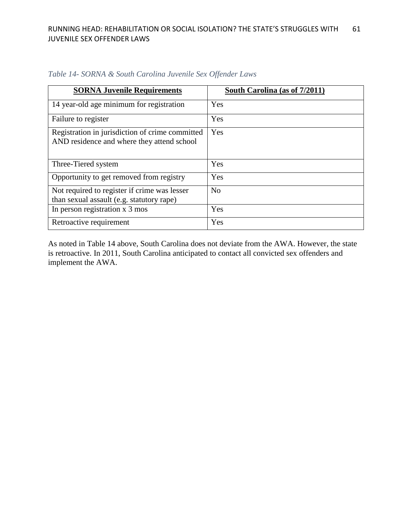| <b>SORNA Juvenile Requirements</b>                                                            | South Carolina (as of 7/2011) |
|-----------------------------------------------------------------------------------------------|-------------------------------|
| 14 year-old age minimum for registration                                                      | Yes                           |
| Failure to register                                                                           | Yes                           |
| Registration in jurisdiction of crime committed<br>AND residence and where they attend school | Yes                           |
| Three-Tiered system                                                                           | Yes                           |
| Opportunity to get removed from registry                                                      | Yes                           |
| Not required to register if crime was lesser<br>than sexual assault (e.g. statutory rape)     | N <sub>o</sub>                |
| In person registration x 3 mos                                                                | Yes                           |
| Retroactive requirement                                                                       | Yes                           |

*Table 14- SORNA & South Carolina Juvenile Sex Offender Laws*

As noted in Table 14 above, South Carolina does not deviate from the AWA. However, the state is retroactive. In 2011, South Carolina anticipated to contact all convicted sex offenders and implement the AWA.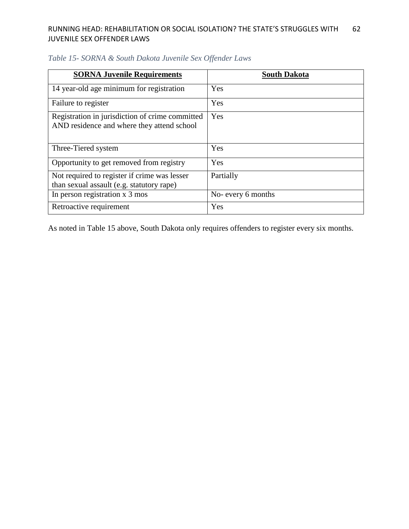| <b>SORNA Juvenile Requirements</b>                                                            | <b>South Dakota</b> |
|-----------------------------------------------------------------------------------------------|---------------------|
| 14 year-old age minimum for registration                                                      | Yes                 |
| Failure to register                                                                           | Yes                 |
| Registration in jurisdiction of crime committed<br>AND residence and where they attend school | Yes                 |
| Three-Tiered system                                                                           | Yes                 |
| Opportunity to get removed from registry                                                      | <b>Yes</b>          |
| Not required to register if crime was lesser<br>than sexual assault (e.g. statutory rape)     | Partially           |
| In person registration x 3 mos                                                                | No- every 6 months  |
| Retroactive requirement                                                                       | Yes                 |

## *Table 15- SORNA & South Dakota Juvenile Sex Offender Laws*

As noted in Table 15 above, South Dakota only requires offenders to register every six months.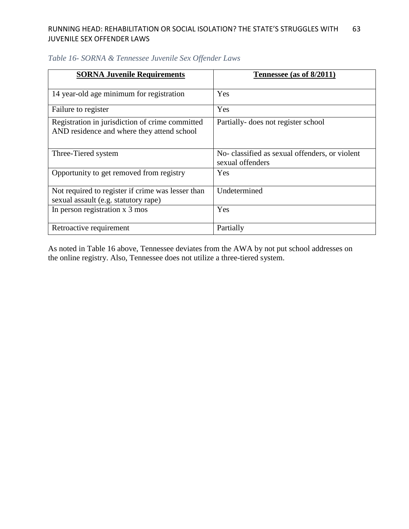| <b>SORNA Juvenile Requirements</b>                                                        | Tennessee (as of 8/2011)                                          |
|-------------------------------------------------------------------------------------------|-------------------------------------------------------------------|
|                                                                                           |                                                                   |
| 14 year-old age minimum for registration                                                  | Yes                                                               |
| Failure to register                                                                       | Yes                                                               |
| Registration in jurisdiction of crime committed                                           | Partially- does not register school                               |
| AND residence and where they attend school                                                |                                                                   |
| Three-Tiered system                                                                       | No-classified as sexual offenders, or violent<br>sexual offenders |
| Opportunity to get removed from registry                                                  | Yes                                                               |
| Not required to register if crime was lesser than<br>sexual assault (e.g. statutory rape) | Undetermined                                                      |
| In person registration x 3 mos                                                            | Yes                                                               |
| Retroactive requirement                                                                   | Partially                                                         |

As noted in Table 16 above, Tennessee deviates from the AWA by not put school addresses on the online registry. Also, Tennessee does not utilize a three-tiered system.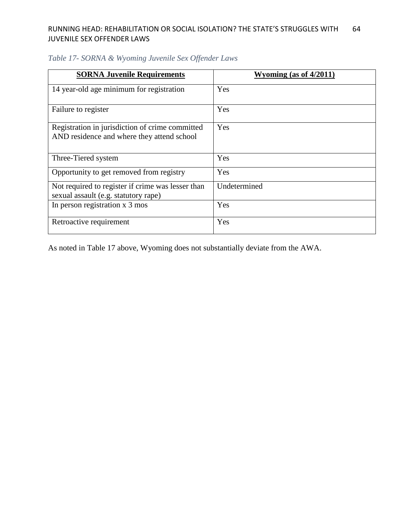| <b>SORNA Juvenile Requirements</b>                                                            | Wyoming (as of $4/2011$ ) |
|-----------------------------------------------------------------------------------------------|---------------------------|
| 14 year-old age minimum for registration                                                      | Yes                       |
| Failure to register                                                                           | Yes                       |
| Registration in jurisdiction of crime committed<br>AND residence and where they attend school | Yes                       |
| Three-Tiered system                                                                           | Yes                       |
| Opportunity to get removed from registry                                                      | Yes                       |
| Not required to register if crime was lesser than<br>sexual assault (e.g. statutory rape)     | Undetermined              |
| In person registration x 3 mos                                                                | Yes                       |
| Retroactive requirement                                                                       | Yes                       |

## *Table 17- SORNA & Wyoming Juvenile Sex Offender Laws*

As noted in Table 17 above, Wyoming does not substantially deviate from the AWA.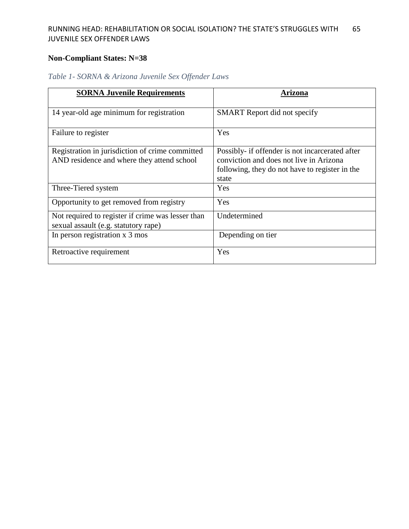# **Non-Compliant States: N=38**

| <b>SORNA Juvenile Requirements</b>                                                            | Arizona                                                                                                                                               |
|-----------------------------------------------------------------------------------------------|-------------------------------------------------------------------------------------------------------------------------------------------------------|
| 14 year-old age minimum for registration                                                      | <b>SMART</b> Report did not specify                                                                                                                   |
| Failure to register                                                                           | Yes                                                                                                                                                   |
| Registration in jurisdiction of crime committed<br>AND residence and where they attend school | Possibly- if offender is not incarcerated after<br>conviction and does not live in Arizona<br>following, they do not have to register in the<br>state |
| Three-Tiered system                                                                           | Yes                                                                                                                                                   |
| Opportunity to get removed from registry                                                      | Yes                                                                                                                                                   |
| Not required to register if crime was lesser than<br>sexual assault (e.g. statutory rape)     | Undetermined                                                                                                                                          |
| In person registration x 3 mos                                                                | Depending on tier                                                                                                                                     |
| Retroactive requirement                                                                       | Yes                                                                                                                                                   |

# *Table 1- SORNA & Arizona Juvenile Sex Offender Laws*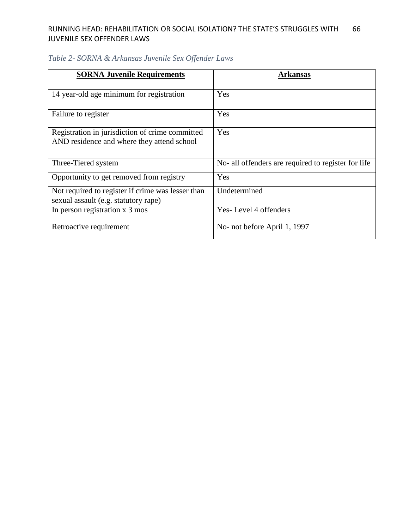| <b>SORNA Juvenile Requirements</b>                                                            | Arkansas                                            |
|-----------------------------------------------------------------------------------------------|-----------------------------------------------------|
| 14 year-old age minimum for registration                                                      | Yes                                                 |
| Failure to register                                                                           | Yes                                                 |
| Registration in jurisdiction of crime committed<br>AND residence and where they attend school | Yes                                                 |
| Three-Tiered system                                                                           | No- all offenders are required to register for life |
| Opportunity to get removed from registry                                                      | Yes                                                 |
| Not required to register if crime was lesser than<br>sexual assault (e.g. statutory rape)     | Undetermined                                        |
| In person registration x 3 mos                                                                | Yes-Level 4 offenders                               |
| Retroactive requirement                                                                       | No- not before April 1, 1997                        |

# *Table 2- SORNA & Arkansas Juvenile Sex Offender Laws*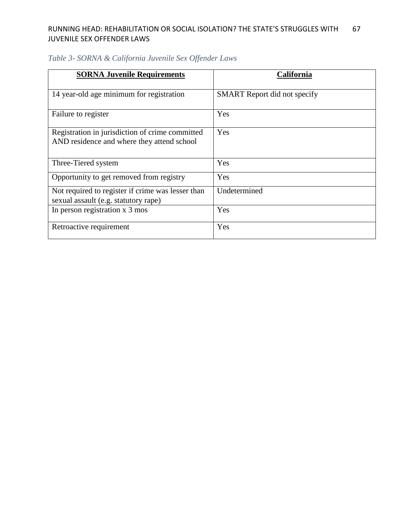| <b>SORNA Juvenile Requirements</b>                                                            | <b>California</b>                   |
|-----------------------------------------------------------------------------------------------|-------------------------------------|
| 14 year-old age minimum for registration                                                      | <b>SMART</b> Report did not specify |
| Failure to register                                                                           | Yes                                 |
| Registration in jurisdiction of crime committed<br>AND residence and where they attend school | Yes                                 |
| Three-Tiered system                                                                           | Yes                                 |
| Opportunity to get removed from registry                                                      | Yes                                 |
| Not required to register if crime was lesser than<br>sexual assault (e.g. statutory rape)     | Undetermined                        |
| In person registration x 3 mos                                                                | Yes                                 |
| Retroactive requirement                                                                       | Yes                                 |

# *Table 3- SORNA & California Juvenile Sex Offender Laws*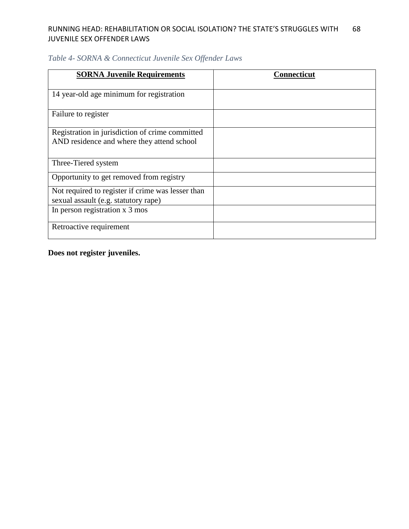| <b>SORNA Juvenile Requirements</b>                                                            | <b>Connecticut</b> |
|-----------------------------------------------------------------------------------------------|--------------------|
| 14 year-old age minimum for registration                                                      |                    |
| Failure to register                                                                           |                    |
| Registration in jurisdiction of crime committed<br>AND residence and where they attend school |                    |
| Three-Tiered system                                                                           |                    |
| Opportunity to get removed from registry                                                      |                    |
| Not required to register if crime was lesser than<br>sexual assault (e.g. statutory rape)     |                    |
| In person registration x 3 mos                                                                |                    |
| Retroactive requirement                                                                       |                    |

## *Table 4- SORNA & Connecticut Juvenile Sex Offender Laws*

**Does not register juveniles.**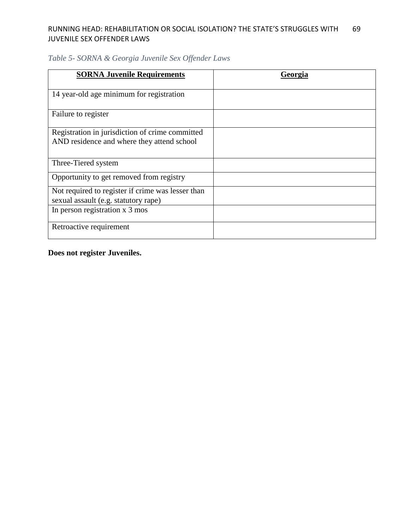## *Table 5- SORNA & Georgia Juvenile Sex Offender Laws*

| <b>SORNA Juvenile Requirements</b>                                                            | Georgia |
|-----------------------------------------------------------------------------------------------|---------|
| 14 year-old age minimum for registration                                                      |         |
| Failure to register                                                                           |         |
| Registration in jurisdiction of crime committed<br>AND residence and where they attend school |         |
| Three-Tiered system                                                                           |         |
| Opportunity to get removed from registry                                                      |         |
| Not required to register if crime was lesser than<br>sexual assault (e.g. statutory rape)     |         |
| In person registration x 3 mos                                                                |         |
| Retroactive requirement                                                                       |         |

**Does not register Juveniles.**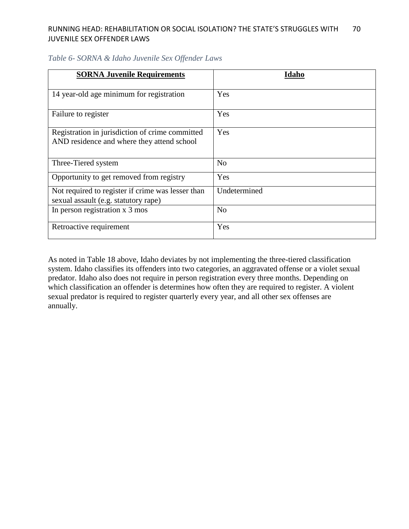| <b>SORNA Juvenile Requirements</b>                | Idaho          |
|---------------------------------------------------|----------------|
|                                                   |                |
| 14 year-old age minimum for registration          | Yes            |
|                                                   |                |
| Failure to register                               | Yes            |
| Registration in jurisdiction of crime committed   | Yes            |
| AND residence and where they attend school        |                |
|                                                   |                |
| Three-Tiered system                               | N <sub>o</sub> |
|                                                   |                |
| Opportunity to get removed from registry          | Yes            |
| Not required to register if crime was lesser than | Undetermined   |
| sexual assault (e.g. statutory rape)              |                |
| In person registration x 3 mos                    | No             |
|                                                   |                |
| Retroactive requirement                           | Yes            |
|                                                   |                |

## *Table 6- SORNA & Idaho Juvenile Sex Offender Laws*

As noted in Table 18 above, Idaho deviates by not implementing the three-tiered classification system. Idaho classifies its offenders into two categories, an aggravated offense or a violet sexual predator. Idaho also does not require in person registration every three months. Depending on which classification an offender is determines how often they are required to register. A violent sexual predator is required to register quarterly every year, and all other sex offenses are annually.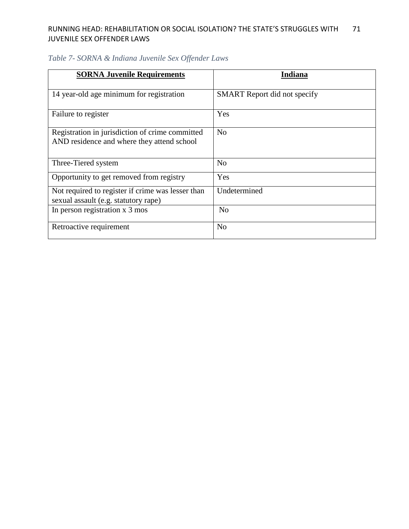| <b>SORNA Juvenile Requirements</b>                                                            | Indiana                             |
|-----------------------------------------------------------------------------------------------|-------------------------------------|
| 14 year-old age minimum for registration                                                      | <b>SMART</b> Report did not specify |
| Failure to register                                                                           | Yes                                 |
| Registration in jurisdiction of crime committed<br>AND residence and where they attend school | N <sub>o</sub>                      |
| Three-Tiered system                                                                           | N <sub>0</sub>                      |
| Opportunity to get removed from registry                                                      | Yes                                 |
| Not required to register if crime was lesser than<br>sexual assault (e.g. statutory rape)     | Undetermined                        |
| In person registration x 3 mos                                                                | N <sub>o</sub>                      |
| Retroactive requirement                                                                       | N <sub>o</sub>                      |

# *Table 7- SORNA & Indiana Juvenile Sex Offender Laws*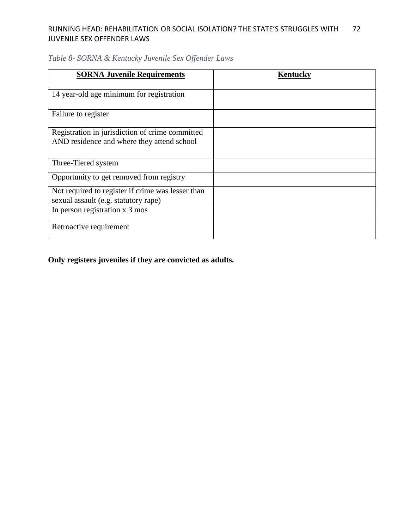| <b>SORNA Juvenile Requirements</b>                | Kentucky |
|---------------------------------------------------|----------|
|                                                   |          |
| 14 year-old age minimum for registration          |          |
|                                                   |          |
| Failure to register                               |          |
|                                                   |          |
| Registration in jurisdiction of crime committed   |          |
| AND residence and where they attend school        |          |
|                                                   |          |
| Three-Tiered system                               |          |
| Opportunity to get removed from registry          |          |
| Not required to register if crime was lesser than |          |
| sexual assault (e.g. statutory rape)              |          |
| In person registration x 3 mos                    |          |
|                                                   |          |
| Retroactive requirement                           |          |
|                                                   |          |

# *Table 8- SORNA & Kentucky Juvenile Sex Offender Laws*

**Only registers juveniles if they are convicted as adults.**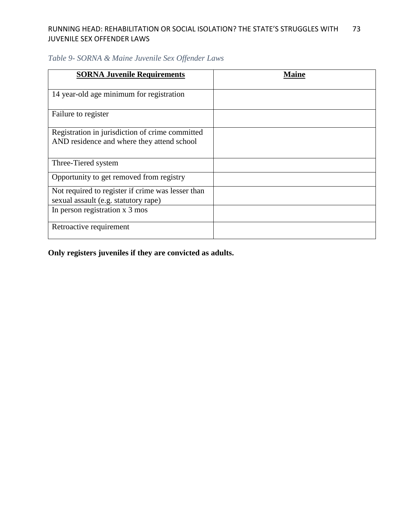## *Table 9- SORNA & Maine Juvenile Sex Offender Laws*

| <b>SORNA Juvenile Requirements</b>                                                            | Maine |
|-----------------------------------------------------------------------------------------------|-------|
| 14 year-old age minimum for registration                                                      |       |
| Failure to register                                                                           |       |
| Registration in jurisdiction of crime committed<br>AND residence and where they attend school |       |
| Three-Tiered system                                                                           |       |
| Opportunity to get removed from registry                                                      |       |
| Not required to register if crime was lesser than<br>sexual assault (e.g. statutory rape)     |       |
| In person registration x 3 mos                                                                |       |
| Retroactive requirement                                                                       |       |

**Only registers juveniles if they are convicted as adults.**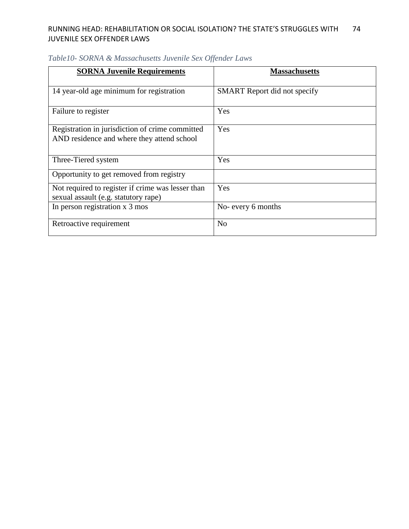| <b>SORNA Juvenile Requirements</b>                                                            | <b>Massachusetts</b>                |
|-----------------------------------------------------------------------------------------------|-------------------------------------|
| 14 year-old age minimum for registration                                                      | <b>SMART</b> Report did not specify |
| Failure to register                                                                           | Yes                                 |
| Registration in jurisdiction of crime committed<br>AND residence and where they attend school | Yes                                 |
| Three-Tiered system                                                                           | Yes                                 |
| Opportunity to get removed from registry                                                      |                                     |
| Not required to register if crime was lesser than<br>sexual assault (e.g. statutory rape)     | Yes                                 |
| In person registration x 3 mos                                                                | No- every 6 months                  |
| Retroactive requirement                                                                       | N <sub>o</sub>                      |

# *Table10- SORNA & Massachusetts Juvenile Sex Offender Laws*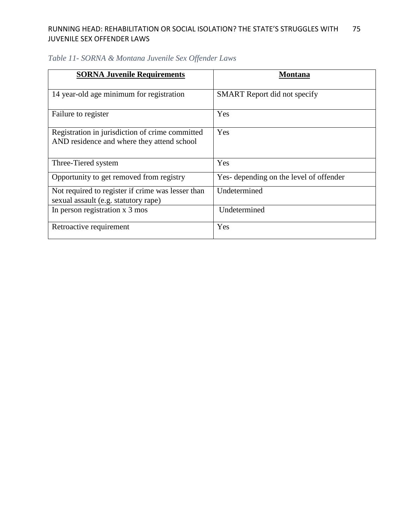| <b>SORNA Juvenile Requirements</b>                | <b>Montana</b>                          |
|---------------------------------------------------|-----------------------------------------|
|                                                   |                                         |
| 14 year-old age minimum for registration          | <b>SMART</b> Report did not specify     |
|                                                   |                                         |
| Failure to register                               | Yes                                     |
| Registration in jurisdiction of crime committed   | Yes                                     |
| AND residence and where they attend school        |                                         |
|                                                   |                                         |
| Three-Tiered system                               | Yes                                     |
| Opportunity to get removed from registry          | Yes- depending on the level of offender |
| Not required to register if crime was lesser than | Undetermined                            |
| sexual assault (e.g. statutory rape)              |                                         |
| In person registration x 3 mos                    | Undetermined                            |
|                                                   |                                         |
| Retroactive requirement                           | Yes                                     |
|                                                   |                                         |

# *Table 11- SORNA & Montana Juvenile Sex Offender Laws*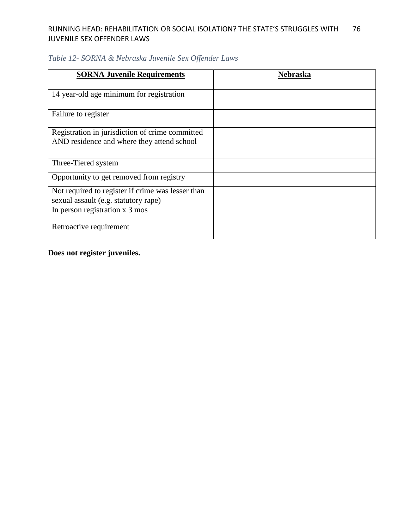| <b>SORNA Juvenile Requirements</b>                                                            | Nebraska |
|-----------------------------------------------------------------------------------------------|----------|
| 14 year-old age minimum for registration                                                      |          |
| Failure to register                                                                           |          |
| Registration in jurisdiction of crime committed<br>AND residence and where they attend school |          |
| Three-Tiered system                                                                           |          |
| Opportunity to get removed from registry                                                      |          |
| Not required to register if crime was lesser than<br>sexual assault (e.g. statutory rape)     |          |
| In person registration x 3 mos                                                                |          |
| Retroactive requirement                                                                       |          |

# *Table 12- SORNA & Nebraska Juvenile Sex Offender Laws*

**Does not register juveniles.**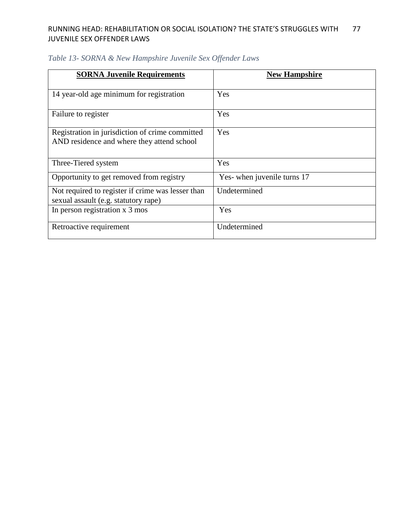| <b>SORNA Juvenile Requirements</b>                | <b>New Hampshire</b>        |
|---------------------------------------------------|-----------------------------|
|                                                   |                             |
| 14 year-old age minimum for registration          | Yes                         |
|                                                   |                             |
| Failure to register                               | Yes                         |
|                                                   |                             |
| Registration in jurisdiction of crime committed   | Yes                         |
| AND residence and where they attend school        |                             |
|                                                   |                             |
| Three-Tiered system                               | Yes                         |
| Opportunity to get removed from registry          | Yes- when juvenile turns 17 |
| Not required to register if crime was lesser than | Undetermined                |
| sexual assault (e.g. statutory rape)              |                             |
| In person registration x 3 mos                    | Yes                         |
|                                                   |                             |
| Retroactive requirement                           | Undetermined                |
|                                                   |                             |

# *Table 13- SORNA & New Hampshire Juvenile Sex Offender Laws*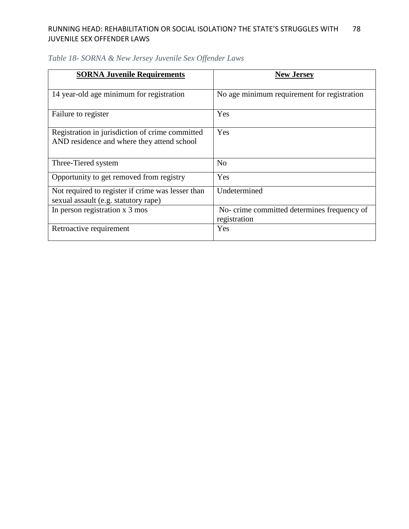| <b>SORNA Juvenile Requirements</b>                                                            | <b>New Jersey</b>                                           |
|-----------------------------------------------------------------------------------------------|-------------------------------------------------------------|
|                                                                                               |                                                             |
| 14 year-old age minimum for registration                                                      | No age minimum requirement for registration                 |
| Failure to register                                                                           | Yes                                                         |
| Registration in jurisdiction of crime committed<br>AND residence and where they attend school | Yes                                                         |
| Three-Tiered system                                                                           | N <sub>0</sub>                                              |
| Opportunity to get removed from registry                                                      | Yes                                                         |
| Not required to register if crime was lesser than<br>sexual assault (e.g. statutory rape)     | Undetermined                                                |
| In person registration x 3 mos                                                                | No- crime committed determines frequency of<br>registration |
| Retroactive requirement                                                                       | Yes                                                         |

# *Table 18- SORNA & New Jersey Juvenile Sex Offender Laws*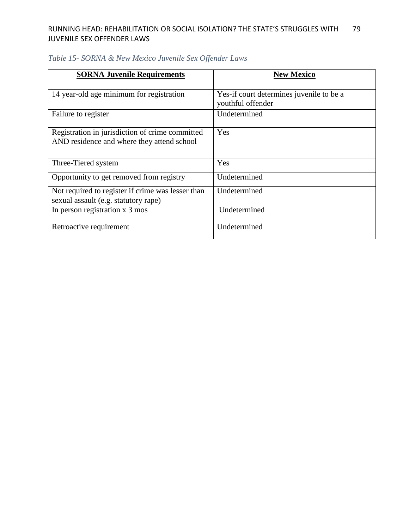| <b>SORNA Juvenile Requirements</b>                | <b>New Mexico</b>                        |
|---------------------------------------------------|------------------------------------------|
|                                                   |                                          |
| 14 year-old age minimum for registration          | Yes-if court determines juvenile to be a |
|                                                   | youthful offender                        |
| Failure to register                               | Undetermined                             |
|                                                   |                                          |
| Registration in jurisdiction of crime committed   | Yes                                      |
| AND residence and where they attend school        |                                          |
|                                                   |                                          |
| Three-Tiered system                               | Yes                                      |
|                                                   | Undetermined                             |
| Opportunity to get removed from registry          |                                          |
| Not required to register if crime was lesser than | Undetermined                             |
| sexual assault (e.g. statutory rape)              |                                          |
| In person registration x 3 mos                    | Undetermined                             |
|                                                   |                                          |
| Retroactive requirement                           | Undetermined                             |
|                                                   |                                          |

# *Table 15- SORNA & New Mexico Juvenile Sex Offender Laws*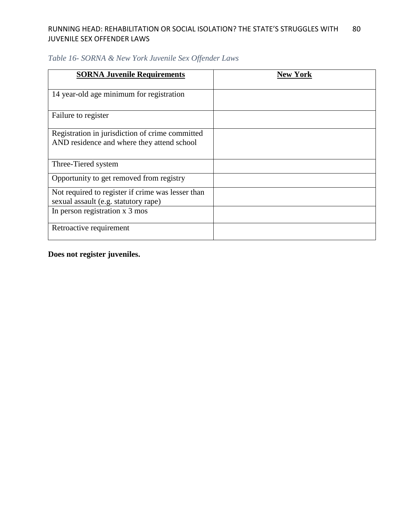| <b>SORNA Juvenile Requirements</b>                | <b>New York</b> |
|---------------------------------------------------|-----------------|
|                                                   |                 |
| 14 year-old age minimum for registration          |                 |
|                                                   |                 |
| Failure to register                               |                 |
|                                                   |                 |
| Registration in jurisdiction of crime committed   |                 |
| AND residence and where they attend school        |                 |
|                                                   |                 |
| Three-Tiered system                               |                 |
| Opportunity to get removed from registry          |                 |
|                                                   |                 |
| Not required to register if crime was lesser than |                 |
| sexual assault (e.g. statutory rape)              |                 |
| In person registration x 3 mos                    |                 |
|                                                   |                 |
| Retroactive requirement                           |                 |
|                                                   |                 |

## *Table 16- SORNA & New York Juvenile Sex Offender Laws*

**Does not register juveniles.**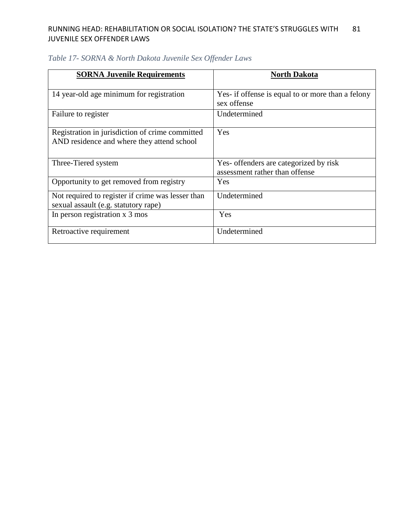| <b>SORNA Juvenile Requirements</b>                                                            | North Dakota                                                             |
|-----------------------------------------------------------------------------------------------|--------------------------------------------------------------------------|
| 14 year-old age minimum for registration                                                      | Yes- if offense is equal to or more than a felony<br>sex offense         |
| Failure to register                                                                           | Undetermined                                                             |
| Registration in jurisdiction of crime committed<br>AND residence and where they attend school | Yes                                                                      |
| Three-Tiered system                                                                           | Yes- offenders are categorized by risk<br>assessment rather than offense |
| Opportunity to get removed from registry                                                      | Yes                                                                      |
| Not required to register if crime was lesser than<br>sexual assault (e.g. statutory rape)     | Undetermined                                                             |
| In person registration x 3 mos                                                                | Yes                                                                      |
| Retroactive requirement                                                                       | Undetermined                                                             |

## *Table 17- SORNA & North Dakota Juvenile Sex Offender Laws*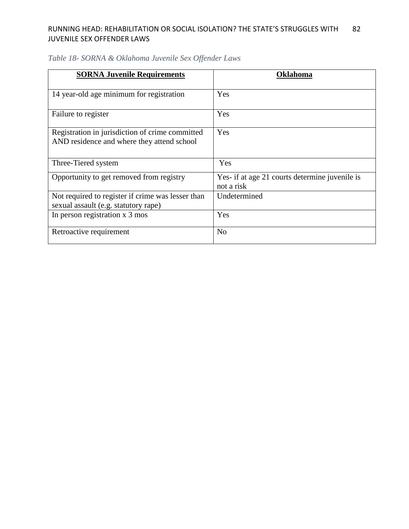| <b>SORNA Juvenile Requirements</b>                | Oklahoma                                       |
|---------------------------------------------------|------------------------------------------------|
|                                                   |                                                |
|                                                   |                                                |
| 14 year-old age minimum for registration          | Yes                                            |
|                                                   |                                                |
| Failure to register                               | Yes                                            |
|                                                   |                                                |
| Registration in jurisdiction of crime committed   | Yes                                            |
| AND residence and where they attend school        |                                                |
|                                                   |                                                |
| Three-Tiered system                               | Yes                                            |
| Opportunity to get removed from registry          | Yes- if at age 21 courts determine juvenile is |
|                                                   | not a risk                                     |
| Not required to register if crime was lesser than | Undetermined                                   |
| sexual assault (e.g. statutory rape)              |                                                |
| In person registration x 3 mos                    | Yes                                            |
|                                                   |                                                |
| Retroactive requirement                           | N <sub>o</sub>                                 |
|                                                   |                                                |

# *Table 18- SORNA & Oklahoma Juvenile Sex Offender Laws*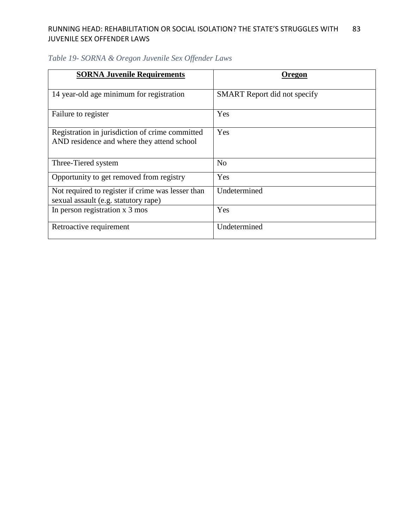| <b>SORNA Juvenile Requirements</b>                                                            | Oregon                              |
|-----------------------------------------------------------------------------------------------|-------------------------------------|
| 14 year-old age minimum for registration                                                      | <b>SMART</b> Report did not specify |
| Failure to register                                                                           | Yes                                 |
| Registration in jurisdiction of crime committed<br>AND residence and where they attend school | Yes                                 |
| Three-Tiered system                                                                           | N <sub>0</sub>                      |
| Opportunity to get removed from registry                                                      | Yes                                 |
| Not required to register if crime was lesser than<br>sexual assault (e.g. statutory rape)     | Undetermined                        |
| In person registration x 3 mos                                                                | Yes                                 |
| Retroactive requirement                                                                       | Undetermined                        |

# *Table 19- SORNA & Oregon Juvenile Sex Offender Laws*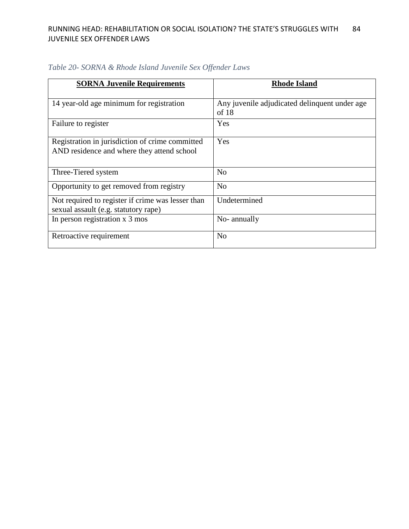| <b>SORNA Juvenile Requirements</b>                | <b>Rhode Island</b>                           |
|---------------------------------------------------|-----------------------------------------------|
|                                                   |                                               |
| 14 year-old age minimum for registration          | Any juvenile adjudicated delinquent under age |
|                                                   | of 18                                         |
| Failure to register                               | Yes                                           |
|                                                   |                                               |
| Registration in jurisdiction of crime committed   | Yes                                           |
| AND residence and where they attend school        |                                               |
|                                                   |                                               |
| Three-Tiered system                               | N <sub>o</sub>                                |
|                                                   |                                               |
| Opportunity to get removed from registry          | N <sub>o</sub>                                |
| Not required to register if crime was lesser than | Undetermined                                  |
| sexual assault (e.g. statutory rape)              |                                               |
| In person registration x 3 mos                    | No-annually                                   |
|                                                   |                                               |
| Retroactive requirement                           | N <sub>o</sub>                                |
|                                                   |                                               |

*Table 20- SORNA & Rhode Island Juvenile Sex Offender Laws*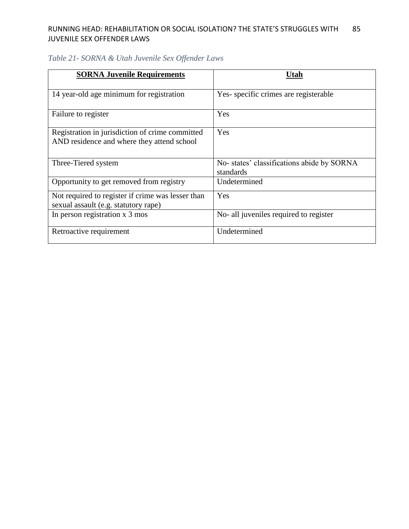| <b>SORNA Juvenile Requirements</b>                                                            | Utah                                                   |
|-----------------------------------------------------------------------------------------------|--------------------------------------------------------|
| 14 year-old age minimum for registration                                                      | Yes-specific crimes are registerable                   |
| Failure to register                                                                           | Yes                                                    |
| Registration in jurisdiction of crime committed<br>AND residence and where they attend school | Yes                                                    |
| Three-Tiered system                                                                           | No-states' classifications abide by SORNA<br>standards |
| Opportunity to get removed from registry                                                      | Undetermined                                           |
| Not required to register if crime was lesser than<br>sexual assault (e.g. statutory rape)     | Yes                                                    |
| In person registration x 3 mos                                                                | No- all juveniles required to register                 |
| Retroactive requirement                                                                       | Undetermined                                           |

# *Table 21- SORNA & Utah Juvenile Sex Offender Laws*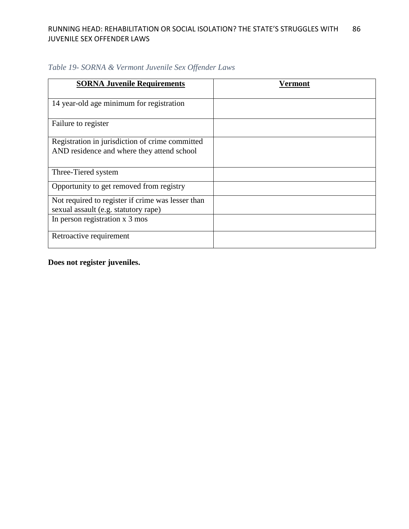| <b>SORNA Juvenile Requirements</b>                | Vermont |
|---------------------------------------------------|---------|
|                                                   |         |
| 14 year-old age minimum for registration          |         |
|                                                   |         |
| Failure to register                               |         |
|                                                   |         |
| Registration in jurisdiction of crime committed   |         |
| AND residence and where they attend school        |         |
|                                                   |         |
| Three-Tiered system                               |         |
| Opportunity to get removed from registry          |         |
|                                                   |         |
| Not required to register if crime was lesser than |         |
| sexual assault (e.g. statutory rape)              |         |
| In person registration x 3 mos                    |         |
|                                                   |         |
| Retroactive requirement                           |         |
|                                                   |         |

*Table 19- SORNA & Vermont Juvenile Sex Offender Laws*

**Does not register juveniles.**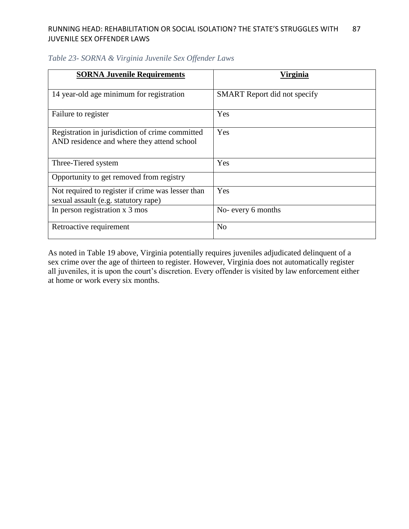| <b>SORNA Juvenile Requirements</b>                | Virginia                            |  |
|---------------------------------------------------|-------------------------------------|--|
|                                                   |                                     |  |
| 14 year-old age minimum for registration          | <b>SMART</b> Report did not specify |  |
|                                                   |                                     |  |
| Failure to register                               | Yes                                 |  |
|                                                   |                                     |  |
| Registration in jurisdiction of crime committed   | Yes                                 |  |
| AND residence and where they attend school        |                                     |  |
|                                                   |                                     |  |
| Three-Tiered system                               | Yes                                 |  |
| Opportunity to get removed from registry          |                                     |  |
|                                                   |                                     |  |
| Not required to register if crime was lesser than | Yes                                 |  |
| sexual assault (e.g. statutory rape)              |                                     |  |
| In person registration x 3 mos                    | No- every 6 months                  |  |
|                                                   |                                     |  |
| Retroactive requirement                           | N <sub>0</sub>                      |  |
|                                                   |                                     |  |

## *Table 23- SORNA & Virginia Juvenile Sex Offender Laws*

As noted in Table 19 above, Virginia potentially requires juveniles adjudicated delinquent of a sex crime over the age of thirteen to register. However, Virginia does not automatically register all juveniles, it is upon the court's discretion. Every offender is visited by law enforcement either at home or work every six months.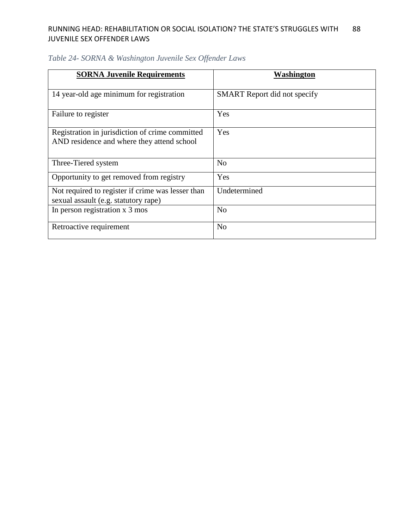| <b>SORNA Juvenile Requirements</b>                | Washington                          |
|---------------------------------------------------|-------------------------------------|
|                                                   |                                     |
| 14 year-old age minimum for registration          | <b>SMART</b> Report did not specify |
|                                                   |                                     |
| Failure to register                               | Yes                                 |
|                                                   |                                     |
| Registration in jurisdiction of crime committed   | Yes                                 |
| AND residence and where they attend school        |                                     |
|                                                   |                                     |
| Three-Tiered system                               | N <sub>0</sub>                      |
|                                                   |                                     |
| Opportunity to get removed from registry          | Yes                                 |
| Not required to register if crime was lesser than | Undetermined                        |
| sexual assault (e.g. statutory rape)              |                                     |
| In person registration x 3 mos                    | N <sub>0</sub>                      |
|                                                   |                                     |
| Retroactive requirement                           | N <sub>o</sub>                      |
|                                                   |                                     |

# *Table 24- SORNA & Washington Juvenile Sex Offender Laws*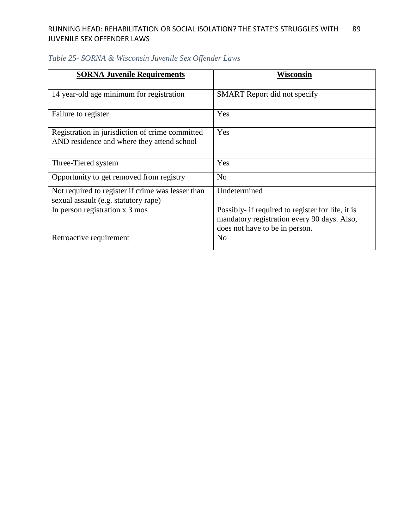| <b>SORNA Juvenile Requirements</b>                | Wisconsin                                         |  |
|---------------------------------------------------|---------------------------------------------------|--|
|                                                   |                                                   |  |
| 14 year-old age minimum for registration          | <b>SMART</b> Report did not specify               |  |
|                                                   |                                                   |  |
| Failure to register                               | Yes                                               |  |
|                                                   |                                                   |  |
| Registration in jurisdiction of crime committed   | Yes                                               |  |
| AND residence and where they attend school        |                                                   |  |
|                                                   |                                                   |  |
| Three-Tiered system                               | Yes                                               |  |
| Opportunity to get removed from registry          | N <sub>o</sub>                                    |  |
|                                                   |                                                   |  |
| Not required to register if crime was lesser than | Undetermined                                      |  |
| sexual assault (e.g. statutory rape)              |                                                   |  |
| In person registration x 3 mos                    | Possibly- if required to register for life, it is |  |
|                                                   | mandatory registration every 90 days. Also,       |  |
|                                                   | does not have to be in person.                    |  |
| Retroactive requirement                           | No                                                |  |
|                                                   |                                                   |  |

## *Table 25- SORNA & Wisconsin Juvenile Sex Offender Laws*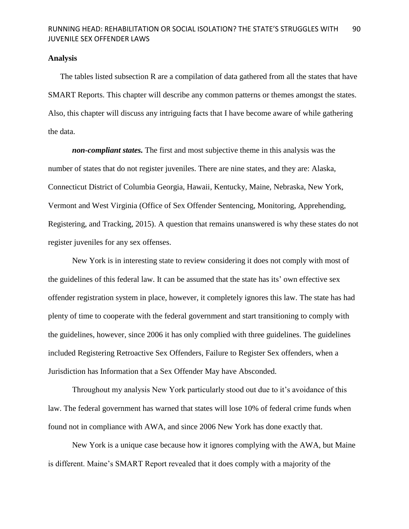### **Analysis**

The tables listed subsection R are a compilation of data gathered from all the states that have SMART Reports. This chapter will describe any common patterns or themes amongst the states. Also, this chapter will discuss any intriguing facts that I have become aware of while gathering the data.

*non-compliant states.* The first and most subjective theme in this analysis was the number of states that do not register juveniles. There are nine states, and they are: Alaska, Connecticut District of Columbia Georgia, Hawaii, Kentucky, Maine, Nebraska, New York, Vermont and West Virginia (Office of Sex Offender Sentencing, Monitoring, Apprehending, Registering, and Tracking, 2015). A question that remains unanswered is why these states do not register juveniles for any sex offenses.

New York is in interesting state to review considering it does not comply with most of the guidelines of this federal law. It can be assumed that the state has its' own effective sex offender registration system in place, however, it completely ignores this law. The state has had plenty of time to cooperate with the federal government and start transitioning to comply with the guidelines, however, since 2006 it has only complied with three guidelines. The guidelines included Registering Retroactive Sex Offenders, Failure to Register Sex offenders, when a Jurisdiction has Information that a Sex Offender May have Absconded.

Throughout my analysis New York particularly stood out due to it's avoidance of this law. The federal government has warned that states will lose 10% of federal crime funds when found not in compliance with AWA, and since 2006 New York has done exactly that.

New York is a unique case because how it ignores complying with the AWA, but Maine is different. Maine's SMART Report revealed that it does comply with a majority of the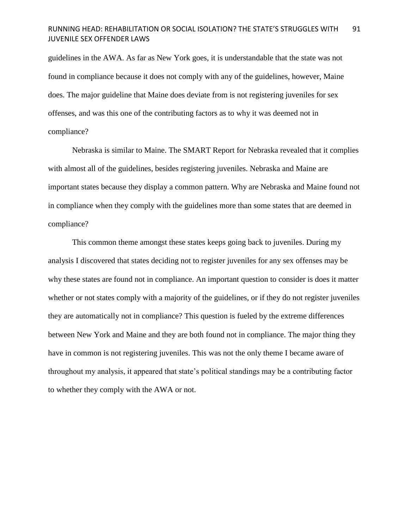guidelines in the AWA. As far as New York goes, it is understandable that the state was not found in compliance because it does not comply with any of the guidelines, however, Maine does. The major guideline that Maine does deviate from is not registering juveniles for sex offenses, and was this one of the contributing factors as to why it was deemed not in compliance?

Nebraska is similar to Maine. The SMART Report for Nebraska revealed that it complies with almost all of the guidelines, besides registering juveniles. Nebraska and Maine are important states because they display a common pattern. Why are Nebraska and Maine found not in compliance when they comply with the guidelines more than some states that are deemed in compliance?

This common theme amongst these states keeps going back to juveniles. During my analysis I discovered that states deciding not to register juveniles for any sex offenses may be why these states are found not in compliance. An important question to consider is does it matter whether or not states comply with a majority of the guidelines, or if they do not register juveniles they are automatically not in compliance? This question is fueled by the extreme differences between New York and Maine and they are both found not in compliance. The major thing they have in common is not registering juveniles. This was not the only theme I became aware of throughout my analysis, it appeared that state's political standings may be a contributing factor to whether they comply with the AWA or not.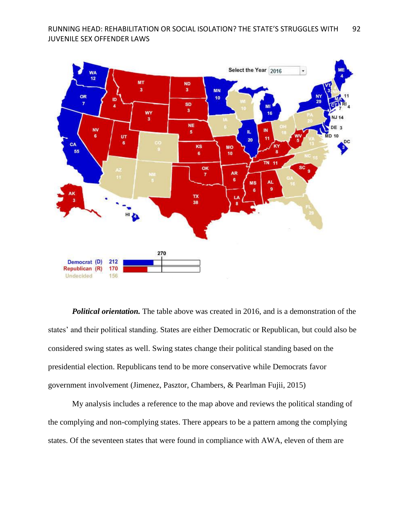

*Political orientation.* The table above was created in 2016, and is a demonstration of the states' and their political standing. States are either Democratic or Republican, but could also be considered swing states as well. Swing states change their political standing based on the presidential election. Republicans tend to be more conservative while Democrats favor government involvement (Jimenez, Pasztor, Chambers, & Pearlman Fujii, 2015)

My analysis includes a reference to the map above and reviews the political standing of the complying and non-complying states. There appears to be a pattern among the complying states. Of the seventeen states that were found in compliance with AWA, eleven of them are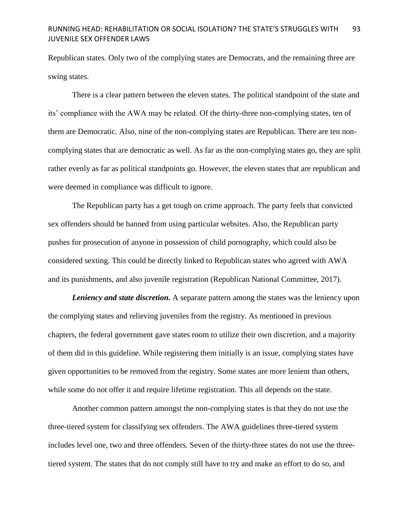Republican states. Only two of the complying states are Democrats, and the remaining three are swing states.

There is a clear pattern between the eleven states. The political standpoint of the state and its' compliance with the AWA may be related. Of the thirty-three non-complying states, ten of them are Democratic. Also, nine of the non-complying states are Republican. There are ten noncomplying states that are democratic as well. As far as the non-complying states go, they are split rather evenly as far as political standpoints go. However, the eleven states that are republican and were deemed in compliance was difficult to ignore.

The Republican party has a get tough on crime approach. The party feels that convicted sex offenders should be banned from using particular websites. Also, the Republican party pushes for prosecution of anyone in possession of child pornography, which could also be considered sexting. This could be directly linked to Republican states who agreed with AWA and its punishments, and also juvenile registration (Republican National Committee, 2017).

*Leniency and state discretion.* A separate pattern among the states was the leniency upon the complying states and relieving juveniles from the registry. As mentioned in previous chapters, the federal government gave states room to utilize their own discretion, and a majority of them did in this guideline. While registering them initially is an issue, complying states have given opportunities to be removed from the registry. Some states are more lenient than others, while some do not offer it and require lifetime registration. This all depends on the state.

Another common pattern amongst the non-complying states is that they do not use the three-tiered system for classifying sex offenders. The AWA guidelines three-tiered system includes level one, two and three offenders. Seven of the thirty-three states do not use the threetiered system. The states that do not comply still have to try and make an effort to do so, and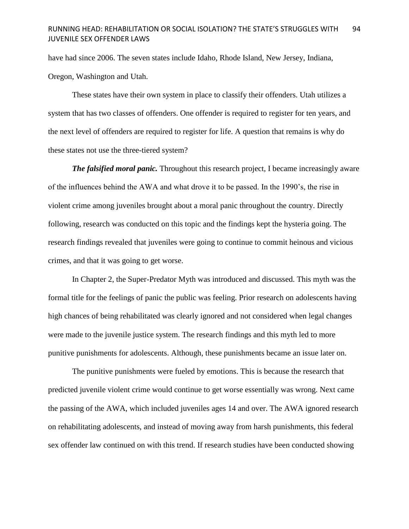have had since 2006. The seven states include Idaho, Rhode Island, New Jersey, Indiana, Oregon, Washington and Utah.

These states have their own system in place to classify their offenders. Utah utilizes a system that has two classes of offenders. One offender is required to register for ten years, and the next level of offenders are required to register for life. A question that remains is why do these states not use the three-tiered system?

*The falsified moral panic.* Throughout this research project, I became increasingly aware of the influences behind the AWA and what drove it to be passed. In the 1990's, the rise in violent crime among juveniles brought about a moral panic throughout the country. Directly following, research was conducted on this topic and the findings kept the hysteria going. The research findings revealed that juveniles were going to continue to commit heinous and vicious crimes, and that it was going to get worse.

In Chapter 2, the Super-Predator Myth was introduced and discussed. This myth was the formal title for the feelings of panic the public was feeling. Prior research on adolescents having high chances of being rehabilitated was clearly ignored and not considered when legal changes were made to the juvenile justice system. The research findings and this myth led to more punitive punishments for adolescents. Although, these punishments became an issue later on.

The punitive punishments were fueled by emotions. This is because the research that predicted juvenile violent crime would continue to get worse essentially was wrong. Next came the passing of the AWA, which included juveniles ages 14 and over. The AWA ignored research on rehabilitating adolescents, and instead of moving away from harsh punishments, this federal sex offender law continued on with this trend. If research studies have been conducted showing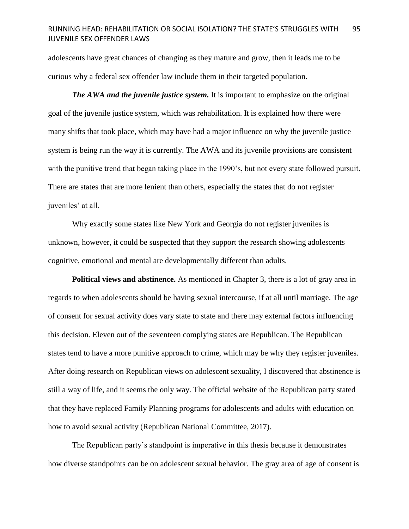adolescents have great chances of changing as they mature and grow, then it leads me to be curious why a federal sex offender law include them in their targeted population.

*The AWA and the juvenile justice system.* It is important to emphasize on the original goal of the juvenile justice system, which was rehabilitation. It is explained how there were many shifts that took place, which may have had a major influence on why the juvenile justice system is being run the way it is currently. The AWA and its juvenile provisions are consistent with the punitive trend that began taking place in the 1990's, but not every state followed pursuit. There are states that are more lenient than others, especially the states that do not register juveniles' at all.

Why exactly some states like New York and Georgia do not register juveniles is unknown, however, it could be suspected that they support the research showing adolescents cognitive, emotional and mental are developmentally different than adults.

**Political views and abstinence.** As mentioned in Chapter 3, there is a lot of gray area in regards to when adolescents should be having sexual intercourse, if at all until marriage. The age of consent for sexual activity does vary state to state and there may external factors influencing this decision. Eleven out of the seventeen complying states are Republican. The Republican states tend to have a more punitive approach to crime, which may be why they register juveniles. After doing research on Republican views on adolescent sexuality, I discovered that abstinence is still a way of life, and it seems the only way. The official website of the Republican party stated that they have replaced Family Planning programs for adolescents and adults with education on how to avoid sexual activity (Republican National Committee, 2017).

The Republican party's standpoint is imperative in this thesis because it demonstrates how diverse standpoints can be on adolescent sexual behavior. The gray area of age of consent is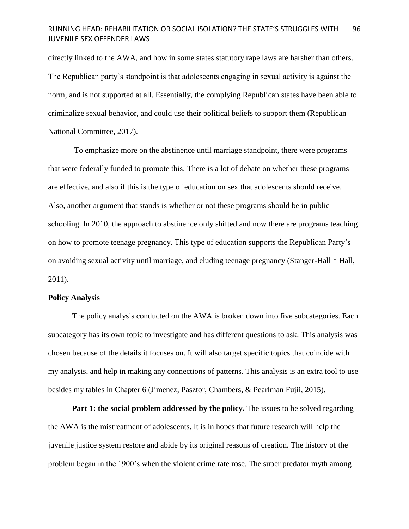directly linked to the AWA, and how in some states statutory rape laws are harsher than others. The Republican party's standpoint is that adolescents engaging in sexual activity is against the norm, and is not supported at all. Essentially, the complying Republican states have been able to criminalize sexual behavior, and could use their political beliefs to support them (Republican National Committee, 2017).

To emphasize more on the abstinence until marriage standpoint, there were programs that were federally funded to promote this. There is a lot of debate on whether these programs are effective, and also if this is the type of education on sex that adolescents should receive. Also, another argument that stands is whether or not these programs should be in public schooling. In 2010, the approach to abstinence only shifted and now there are programs teaching on how to promote teenage pregnancy. This type of education supports the Republican Party's on avoiding sexual activity until marriage, and eluding teenage pregnancy (Stanger-Hall \* Hall, 2011).

### **Policy Analysis**

The policy analysis conducted on the AWA is broken down into five subcategories. Each subcategory has its own topic to investigate and has different questions to ask. This analysis was chosen because of the details it focuses on. It will also target specific topics that coincide with my analysis, and help in making any connections of patterns. This analysis is an extra tool to use besides my tables in Chapter 6 (Jimenez, Pasztor, Chambers, & Pearlman Fujii, 2015).

**Part 1: the social problem addressed by the policy.** The issues to be solved regarding the AWA is the mistreatment of adolescents. It is in hopes that future research will help the juvenile justice system restore and abide by its original reasons of creation. The history of the problem began in the 1900's when the violent crime rate rose. The super predator myth among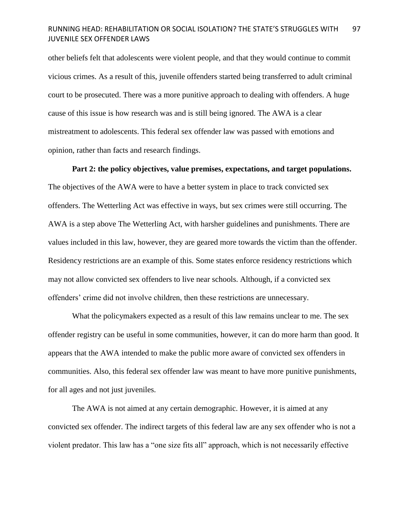other beliefs felt that adolescents were violent people, and that they would continue to commit vicious crimes. As a result of this, juvenile offenders started being transferred to adult criminal court to be prosecuted. There was a more punitive approach to dealing with offenders. A huge cause of this issue is how research was and is still being ignored. The AWA is a clear mistreatment to adolescents. This federal sex offender law was passed with emotions and opinion, rather than facts and research findings.

### **Part 2: the policy objectives, value premises, expectations, and target populations.**

The objectives of the AWA were to have a better system in place to track convicted sex offenders. The Wetterling Act was effective in ways, but sex crimes were still occurring. The AWA is a step above The Wetterling Act, with harsher guidelines and punishments. There are values included in this law, however, they are geared more towards the victim than the offender. Residency restrictions are an example of this. Some states enforce residency restrictions which may not allow convicted sex offenders to live near schools. Although, if a convicted sex offenders' crime did not involve children, then these restrictions are unnecessary.

What the policymakers expected as a result of this law remains unclear to me. The sex offender registry can be useful in some communities, however, it can do more harm than good. It appears that the AWA intended to make the public more aware of convicted sex offenders in communities. Also, this federal sex offender law was meant to have more punitive punishments, for all ages and not just juveniles.

The AWA is not aimed at any certain demographic. However, it is aimed at any convicted sex offender. The indirect targets of this federal law are any sex offender who is not a violent predator. This law has a "one size fits all" approach, which is not necessarily effective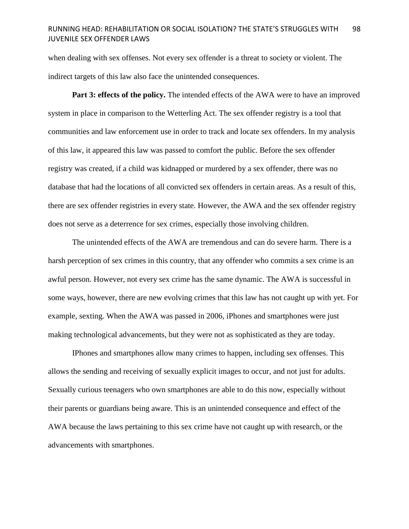when dealing with sex offenses. Not every sex offender is a threat to society or violent. The indirect targets of this law also face the unintended consequences.

Part 3: effects of the policy. The intended effects of the AWA were to have an improved system in place in comparison to the Wetterling Act. The sex offender registry is a tool that communities and law enforcement use in order to track and locate sex offenders. In my analysis of this law, it appeared this law was passed to comfort the public. Before the sex offender registry was created, if a child was kidnapped or murdered by a sex offender, there was no database that had the locations of all convicted sex offenders in certain areas. As a result of this, there are sex offender registries in every state. However, the AWA and the sex offender registry does not serve as a deterrence for sex crimes, especially those involving children.

The unintended effects of the AWA are tremendous and can do severe harm. There is a harsh perception of sex crimes in this country, that any offender who commits a sex crime is an awful person. However, not every sex crime has the same dynamic. The AWA is successful in some ways, however, there are new evolving crimes that this law has not caught up with yet. For example, sexting. When the AWA was passed in 2006, iPhones and smartphones were just making technological advancements, but they were not as sophisticated as they are today.

IPhones and smartphones allow many crimes to happen, including sex offenses. This allows the sending and receiving of sexually explicit images to occur, and not just for adults. Sexually curious teenagers who own smartphones are able to do this now, especially without their parents or guardians being aware. This is an unintended consequence and effect of the AWA because the laws pertaining to this sex crime have not caught up with research, or the advancements with smartphones.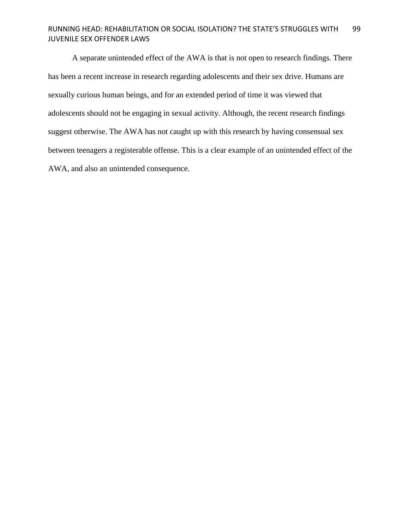A separate unintended effect of the AWA is that is not open to research findings. There has been a recent increase in research regarding adolescents and their sex drive. Humans are sexually curious human beings, and for an extended period of time it was viewed that adolescents should not be engaging in sexual activity. Although, the recent research findings suggest otherwise. The AWA has not caught up with this research by having consensual sex between teenagers a registerable offense. This is a clear example of an unintended effect of the AWA, and also an unintended consequence.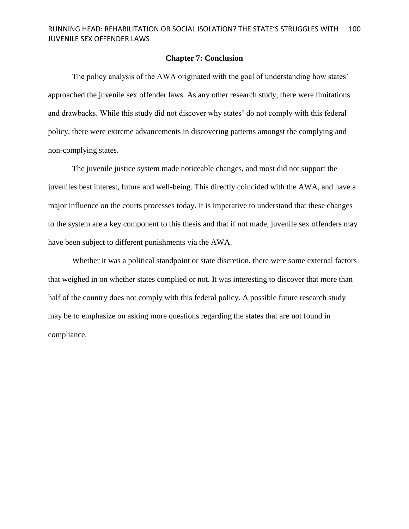### **Chapter 7: Conclusion**

The policy analysis of the AWA originated with the goal of understanding how states' approached the juvenile sex offender laws. As any other research study, there were limitations and drawbacks. While this study did not discover why states' do not comply with this federal policy, there were extreme advancements in discovering patterns amongst the complying and non-complying states.

The juvenile justice system made noticeable changes, and most did not support the juveniles best interest, future and well-being. This directly coincided with the AWA, and have a major influence on the courts processes today. It is imperative to understand that these changes to the system are a key component to this thesis and that if not made, juvenile sex offenders may have been subject to different punishments via the AWA.

Whether it was a political standpoint or state discretion, there were some external factors that weighed in on whether states complied or not. It was interesting to discover that more than half of the country does not comply with this federal policy. A possible future research study may be to emphasize on asking more questions regarding the states that are not found in compliance.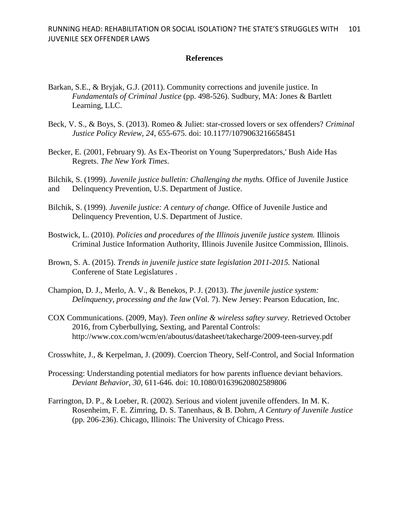### **References**

- Barkan, S.E., & Bryjak, G.J. (2011). Community corrections and juvenile justice. In *Fundamentals of Criminal Justice* (pp. 498-526). Sudbury, MA: Jones & Bartlett Learning, LLC.
- Beck, V. S., & Boys, S. (2013). Romeo & Juliet: star-crossed lovers or sex offenders? *Criminal Justice Policy Review, 24*, 655-675. doi: 10.1177/1079063216658451
- Becker, E. (2001, February 9). As Ex-Theorist on Young 'Superpredators,' Bush Aide Has Regrets. *The New York Times*.
- Bilchik, S. (1999). *Juvenile justice bulletin: Challenging the myths.* Office of Juvenile Justice and Delinquency Prevention, U.S. Department of Justice.
- Bilchik, S. (1999). *Juvenile justice: A century of change.* Office of Juvenile Justice and Delinquency Prevention, U.S. Department of Justice.
- Bostwick, L. (2010). *Policies and procedures of the Illinois juvenile justice system.* Illinois Criminal Justice Information Authority, Illinois Juvenile Jusitce Commission, Illinois.
- Brown, S. A. (2015). *Trends in juvenile justice state legislation 2011-2015.* National Conferene of State Legislatures .
- Champion, D. J., Merlo, A. V., & Benekos, P. J. (2013). *The juvenile justice system: Delinquency, processing and the law* (Vol. 7). New Jersey: Pearson Education, Inc.
- COX Communications. (2009, May). *Teen online & wireless saftey survey*. Retrieved October 2016, from Cyberbullying, Sexting, and Parental Controls: http://www.cox.com/wcm/en/aboutus/datasheet/takecharge/2009-teen-survey.pdf
- Crosswhite, J., & Kerpelman, J. (2009). Coercion Theory, Self-Control, and Social Information
- Processing: Understanding potential mediators for how parents influence deviant behaviors. *Deviant Behavior, 30*, 611-646. doi: 10.1080/01639620802589806
- Farrington, D. P., & Loeber, R. (2002). Serious and violent juvenile offenders. In M. K. Rosenheim, F. E. Zimring, D. S. Tanenhaus, & B. Dohrn, *A Century of Juvenile Justice* (pp. 206-236). Chicago, Illinois: The University of Chicago Press.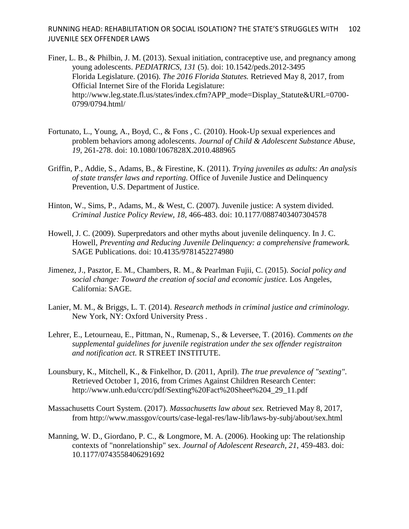- Finer, L. B., & Philbin, J. M. (2013). Sexual initiation, contraceptive use, and pregnancy among young adolescents. *PEDIATRICS, 131* (5). doi: 10.1542/peds.2012-3495 Florida Legislature. (2016). *The 2016 Florida Statutes.* Retrieved May 8, 2017, from Official Internet Sire of the Florida Legislature: http://www.leg.state.fl.us/states/index.cfm?APP\_mode=Display\_Statute&URL=0700- 0799/0794.html/
- Fortunato, L., Young, A., Boyd, C., & Fons , C. (2010). Hook-Up sexual experiences and problem behaviors among adolescents. *Journal of Child & Adolescent Substance Abuse, 19*, 261-278. doi: 10.1080/1067828X.2010.488965
- Griffin, P., Addie, S., Adams, B., & Firestine, K. (2011). *Trying juveniles as adults: An analysis of state transfer laws and reporting.* Office of Juvenile Justice and Delinquency Prevention, U.S. Department of Justice.
- Hinton, W., Sims, P., Adams, M., & West, C. (2007). Juvenile justice: A system divided. *Criminal Justice Policy Review, 18*, 466-483. doi: 10.1177/0887403407304578
- Howell, J. C. (2009). Superpredators and other myths about juvenile delinquency. In J. C. Howell, *Preventing and Reducing Juvenile Delinquency: a comprehensive framework.* SAGE Publications. doi: 10.4135/9781452274980
- Jimenez, J., Pasztor, E. M., Chambers, R. M., & Pearlman Fujii, C. (2015). *Social policy and social change: Toward the creation of social and economic justice.* Los Angeles, California: SAGE.
- Lanier, M. M., & Briggs, L. T. (2014). *Research methods in criminal justice and criminology.* New York, NY: Oxford University Press .
- Lehrer, E., Letourneau, E., Pittman, N., Rumenap, S., & Leversee, T. (2016). *Comments on the supplemental guidelines for juvenile registration under the sex offender registraiton and notification act.* R STREET INSTITUTE.
- Lounsbury, K., Mitchell, K., & Finkelhor, D. (2011, April). *The true prevalence of "sexting"*. Retrieved October 1, 2016, from Crimes Against Children Research Center: http://www.unh.edu/ccrc/pdf/Sexting%20Fact%20Sheet%204\_29\_11.pdf
- Massachusetts Court System. (2017). *Massachusetts law about sex.* Retrieved May 8, 2017, from http://www.massgov/courts/case-legal-res/law-lib/laws-by-subj/about/sex.html
- Manning, W. D., Giordano, P. C., & Longmore, M. A. (2006). Hooking up: The relationship contexts of "nonrelationship" sex. *Journal of Adolescent Research, 21*, 459-483. doi: 10.1177/0743558406291692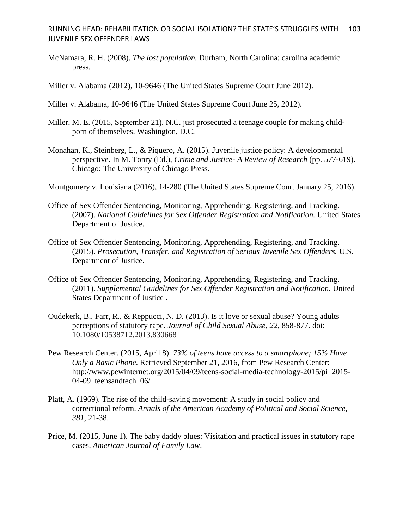- McNamara, R. H. (2008). *The lost population.* Durham, North Carolina: carolina academic press.
- Miller v. Alabama (2012), 10-9646 (The United States Supreme Court June 2012).
- Miller v. Alabama, 10-9646 (The United States Supreme Court June 25, 2012).
- Miller, M. E. (2015, September 21). N.C. just prosecuted a teenage couple for making childporn of themselves. Washington, D.C.
- Monahan, K., Steinberg, L., & Piquero, A. (2015). Juvenile justice policy: A developmental perspective. In M. Tonry (Ed.), *Crime and Justice- A Review of Research* (pp. 577-619). Chicago: The University of Chicago Press.
- Montgomery v. Louisiana (2016), 14-280 (The United States Supreme Court January 25, 2016).
- Office of Sex Offender Sentencing, Monitoring, Apprehending, Registering, and Tracking. (2007). *National Guidelines for Sex Offender Registration and Notification.* United States Department of Justice.
- Office of Sex Offender Sentencing, Monitoring, Apprehending, Registering, and Tracking. (2015). *Prosecution, Transfer, and Registration of Serious Juvenile Sex Offenders.* U.S. Department of Justice.
- Office of Sex Offender Sentencing, Monitoring, Apprehending, Registering, and Tracking. (2011). *Supplemental Guidelines for Sex Offender Registration and Notification.* United States Department of Justice .
- Oudekerk, B., Farr, R., & Reppucci, N. D. (2013). Is it love or sexual abuse? Young adults' perceptions of statutory rape. *Journal of Child Sexual Abuse, 22*, 858-877. doi: 10.1080/10538712.2013.830668
- Pew Research Center. (2015, April 8). *73% of teens have access to a smartphone; 15% Have Only a Basic Phone*. Retrieved September 21, 2016, from Pew Research Center: http://www.pewinternet.org/2015/04/09/teens-social-media-technology-2015/pi\_2015- 04-09 teensandtech 06/
- Platt, A. (1969). The rise of the child-saving movement: A study in social policy and correctional reform. *Annals of the American Academy of Political and Social Science, 381*, 21-38.
- Price, M. (2015, June 1). The baby daddy blues: Visitation and practical issues in statutory rape cases. *American Journal of Family Law*.